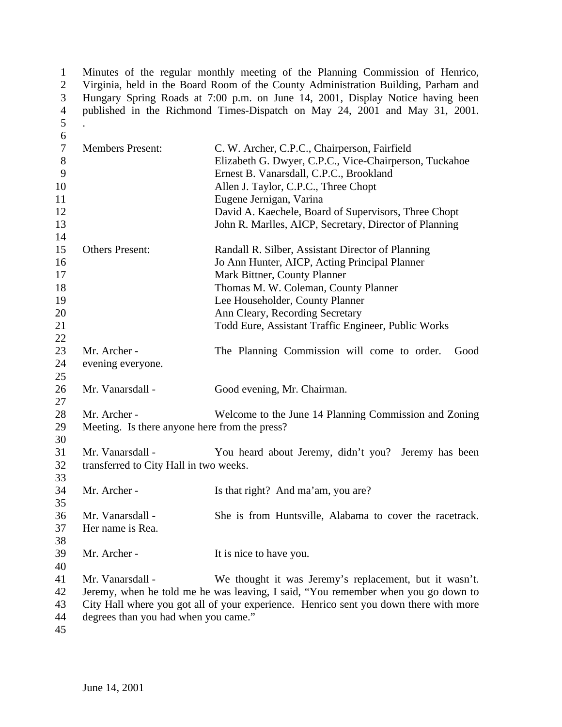1 Minutes of the regular monthly meeting of the Planning Commission of Henrico,<br>2 Virginia, held in the Board Room of the County Administration Building, Parham and 2 Virginia, held in the Board Room of the County Administration Building, Parham and Hungary Spring Roads at 7:00 p.m. on June 14, 2001, Display Notice having been Hungary Spring Roads at 7:00 p.m. on June 14, 2001, Display Notice having been published in the Richmond Times-Dispatch on May 24, 2001 and May 31, 2001. .

| 6              |                                               |                                                                                                                                                                            |
|----------------|-----------------------------------------------|----------------------------------------------------------------------------------------------------------------------------------------------------------------------------|
| $\overline{7}$ | <b>Members Present:</b>                       | C. W. Archer, C.P.C., Chairperson, Fairfield                                                                                                                               |
| 8              |                                               | Elizabeth G. Dwyer, C.P.C., Vice-Chairperson, Tuckahoe                                                                                                                     |
| 9              |                                               | Ernest B. Vanarsdall, C.P.C., Brookland                                                                                                                                    |
| 10             |                                               | Allen J. Taylor, C.P.C., Three Chopt                                                                                                                                       |
| 11             |                                               | Eugene Jernigan, Varina                                                                                                                                                    |
| 12             |                                               | David A. Kaechele, Board of Supervisors, Three Chopt                                                                                                                       |
| 13             |                                               | John R. Marlles, AICP, Secretary, Director of Planning                                                                                                                     |
| 14             |                                               |                                                                                                                                                                            |
| 15             | <b>Others Present:</b>                        | Randall R. Silber, Assistant Director of Planning                                                                                                                          |
| 16             |                                               | Jo Ann Hunter, AICP, Acting Principal Planner                                                                                                                              |
| 17             |                                               | Mark Bittner, County Planner                                                                                                                                               |
| 18             |                                               | Thomas M. W. Coleman, County Planner                                                                                                                                       |
| 19             |                                               | Lee Householder, County Planner                                                                                                                                            |
| 20             |                                               | Ann Cleary, Recording Secretary                                                                                                                                            |
| 21             |                                               | Todd Eure, Assistant Traffic Engineer, Public Works                                                                                                                        |
| 22             |                                               |                                                                                                                                                                            |
| 23             | Mr. Archer -                                  | The Planning Commission will come to order.<br>Good                                                                                                                        |
| 24             | evening everyone.                             |                                                                                                                                                                            |
| 25             |                                               |                                                                                                                                                                            |
| 26             | Mr. Vanarsdall -                              | Good evening, Mr. Chairman.                                                                                                                                                |
| 27             |                                               |                                                                                                                                                                            |
| 28             | Mr. Archer -                                  | Welcome to the June 14 Planning Commission and Zoning                                                                                                                      |
| 29             | Meeting. Is there anyone here from the press? |                                                                                                                                                                            |
| 30             |                                               |                                                                                                                                                                            |
| 31             | Mr. Vanarsdall -                              | You heard about Jeremy, didn't you? Jeremy has been                                                                                                                        |
| 32             | transferred to City Hall in two weeks.        |                                                                                                                                                                            |
| 33             |                                               |                                                                                                                                                                            |
| 34             | Mr. Archer -                                  | Is that right? And ma'am, you are?                                                                                                                                         |
| 35             |                                               |                                                                                                                                                                            |
| 36             | Mr. Vanarsdall -                              | She is from Huntsville, Alabama to cover the racetrack.                                                                                                                    |
| 37             | Her name is Rea.                              |                                                                                                                                                                            |
| 38             |                                               |                                                                                                                                                                            |
| 39             | Mr. Archer -                                  | It is nice to have you.                                                                                                                                                    |
| 40             | Mr. Vanarsdall -                              |                                                                                                                                                                            |
| 41<br>42       |                                               | We thought it was Jeremy's replacement, but it wasn't.                                                                                                                     |
| 43             |                                               | Jeremy, when he told me he was leaving, I said, "You remember when you go down to<br>City Hall where you got all of your experience. Henrico sent you down there with more |
| 44             | degrees than you had when you came."          |                                                                                                                                                                            |
| 45             |                                               |                                                                                                                                                                            |
|                |                                               |                                                                                                                                                                            |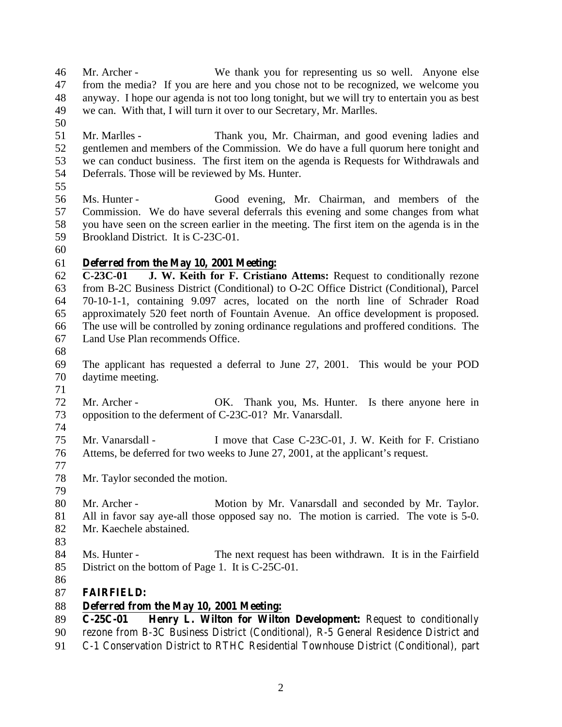Mr. Archer - We thank you for representing us so well. Anyone else from the media? If you are here and you chose not to be recognized, we welcome you anyway. I hope our agenda is not too long tonight, but we will try to entertain you as best we can. With that, I will turn it over to our Secretary, Mr. Marlles.

- 
- Mr. Marlles Thank you, Mr. Chairman, and good evening ladies and gentlemen and members of the Commission. We do have a full quorum here tonight and we can conduct business. The first item on the agenda is Requests for Withdrawals and Deferrals. Those will be reviewed by Ms. Hunter.
- 
- Ms. Hunter Good evening, Mr. Chairman, and members of the Commission. We do have several deferrals this evening and some changes from what you have seen on the screen earlier in the meeting. The first item on the agenda is in the Brookland District. It is C-23C-01.
- 

## **Deferred from the May 10, 2001 Meeting:**

 **C-23C-01 J. W. Keith for F. Cristiano Attems:** Request to conditionally rezone from B-2C Business District (Conditional) to O-2C Office District (Conditional), Parcel 70-10-1-1, containing 9.097 acres, located on the north line of Schrader Road approximately 520 feet north of Fountain Avenue. An office development is proposed. The use will be controlled by zoning ordinance regulations and proffered conditions. The Land Use Plan recommends Office.

- 
- The applicant has requested a deferral to June 27, 2001. This would be your POD daytime meeting.
- 

 Mr. Archer - OK. Thank you, Ms. Hunter. Is there anyone here in opposition to the deferment of C-23C-01? Mr. Vanarsdall.

 Mr. Vanarsdall - I move that Case C-23C-01, J. W. Keith for F. Cristiano Attems, be deferred for two weeks to June 27, 2001, at the applicant's request. 

- Mr. Taylor seconded the motion.
- 

 Mr. Archer - Motion by Mr. Vanarsdall and seconded by Mr. Taylor. All in favor say aye-all those opposed say no. The motion is carried. The vote is 5-0. Mr. Kaechele abstained.

- Ms. Hunter The next request has been withdrawn. It is in the Fairfield District on the bottom of Page 1. It is C-25C-01.
- 

## **FAIRFIELD:**

## **Deferred from the May 10, 2001 Meeting:**

 **C-25C-01 Henry L. Wilton for Wilton Development:** Request to conditionally rezone from B-3C Business District (Conditional), R-5 General Residence District and

C-1 Conservation District to RTHC Residential Townhouse District (Conditional), part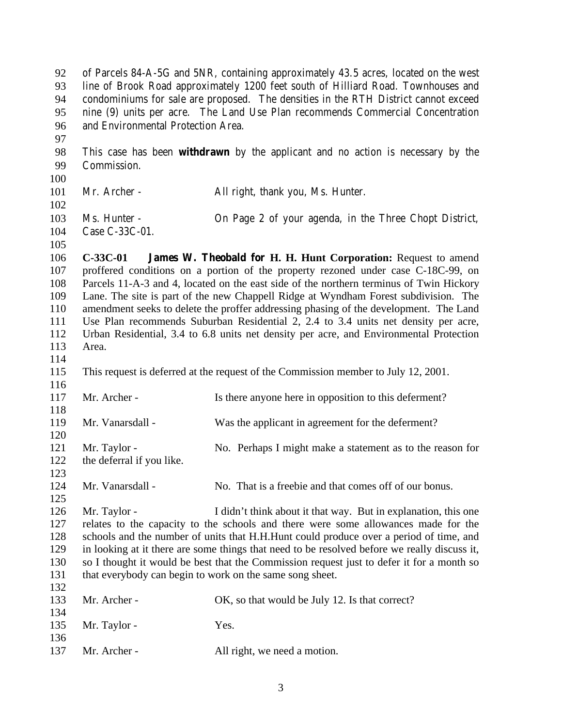of Parcels 84-A-5G and 5NR, containing approximately 43.5 acres, located on the west line of Brook Road approximately 1200 feet south of Hilliard Road. Townhouses and condominiums for sale are proposed. The densities in the RTH District cannot exceed nine (9) units per acre. The Land Use Plan recommends Commercial Concentration and Environmental Protection Area. This case has been **withdrawn** by the applicant and no action is necessary by the Commission. 101 Mr. Archer - All right, thank you, Ms. Hunter. Ms. Hunter - On Page 2 of your agenda, in the Three Chopt District, Case C-33C-01. **C-33C-01 James W. Theobald for H. H. Hunt Corporation:** Request to amend proffered conditions on a portion of the property rezoned under case C-18C-99, on Parcels 11-A-3 and 4, located on the east side of the northern terminus of Twin Hickory Lane. The site is part of the new Chappell Ridge at Wyndham Forest subdivision. The amendment seeks to delete the proffer addressing phasing of the development. The Land Use Plan recommends Suburban Residential 2, 2.4 to 3.4 units net density per acre, Urban Residential, 3.4 to 6.8 units net density per acre, and Environmental Protection Area. This request is deferred at the request of the Commission member to July 12, 2001. 117 Mr. Archer - Is there anyone here in opposition to this deferment? Mr. Vanarsdall - Was the applicant in agreement for the deferment? Mr. Taylor - No. Perhaps I might make a statement as to the reason for the deferral if you like. 124 Mr. Vanarsdall - No. That is a freebie and that comes off of our bonus. Mr. Taylor - I didn't think about it that way. But in explanation, this one relates to the capacity to the schools and there were some allowances made for the schools and the number of units that H.H.Hunt could produce over a period of time, and in looking at it there are some things that need to be resolved before we really discuss it, so I thought it would be best that the Commission request just to defer it for a month so that everybody can begin to work on the same song sheet. 133 Mr. Archer - OK, so that would be July 12. Is that correct? 135 Mr. Taylor - Yes. 137 Mr. Archer - All right, we need a motion.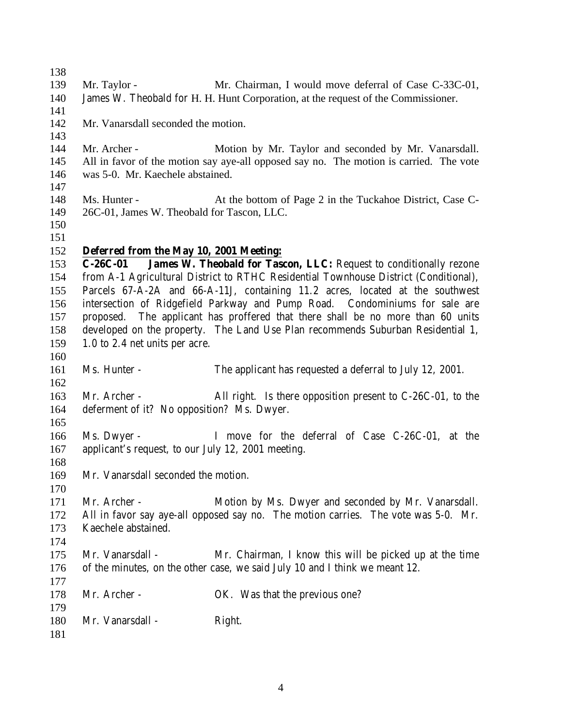| 138        |                                                    |                                                                                        |
|------------|----------------------------------------------------|----------------------------------------------------------------------------------------|
| 139        | Mr. Taylor -                                       | Mr. Chairman, I would move deferral of Case C-33C-01,                                  |
| 140        |                                                    | James W. Theobald for H. H. Hunt Corporation, at the request of the Commissioner.      |
| 141        |                                                    |                                                                                        |
| 142        | Mr. Vanarsdall seconded the motion.                |                                                                                        |
| 143        |                                                    |                                                                                        |
| 144        | Mr. Archer -                                       | Motion by Mr. Taylor and seconded by Mr. Vanarsdall.                                   |
| 145        |                                                    | All in favor of the motion say aye-all opposed say no. The motion is carried. The vote |
| 146        | was 5-0. Mr. Kaechele abstained.                   |                                                                                        |
| 147        |                                                    |                                                                                        |
| 148        | Ms. Hunter -                                       | At the bottom of Page 2 in the Tuckahoe District, Case C-                              |
| 149        | 26C-01, James W. Theobald for Tascon, LLC.         |                                                                                        |
| 150        |                                                    |                                                                                        |
| 151<br>152 | Deferred from the May 10, 2001 Meeting:            |                                                                                        |
| 153        | $C-26C-01$                                         | James W. Theobald for Tascon, LLC: Request to conditionally rezone                     |
| 154        |                                                    | from A-1 Agricultural District to RTHC Residential Townhouse District (Conditional),   |
| 155        |                                                    | Parcels 67-A-2A and 66-A-11J, containing 11.2 acres, located at the southwest          |
| 156        |                                                    | intersection of Ridgefield Parkway and Pump Road. Condominiums for sale are            |
| 157        |                                                    | proposed. The applicant has proffered that there shall be no more than 60 units        |
| 158        |                                                    | developed on the property. The Land Use Plan recommends Suburban Residential 1,        |
| 159        | 1.0 to 2.4 net units per acre.                     |                                                                                        |
| 160        |                                                    |                                                                                        |
| 161        | Ms. Hunter -                                       | The applicant has requested a deferral to July 12, 2001.                               |
| 162        |                                                    |                                                                                        |
| 163        | Mr. Archer -                                       | All right. Is there opposition present to C-26C-01, to the                             |
| 164        | deferment of it? No opposition? Ms. Dwyer.         |                                                                                        |
| 165        |                                                    |                                                                                        |
| 166        | Ms. Dwyer -                                        | I move for the deferral of Case C-26C-01, at the                                       |
| 167        | applicant's request, to our July 12, 2001 meeting. |                                                                                        |
| 168        |                                                    |                                                                                        |
| 169        | Mr. Vanarsdall seconded the motion.                |                                                                                        |
| 170        |                                                    |                                                                                        |
| 171        | Mr. Archer -                                       | Motion by Ms. Dwyer and seconded by Mr. Vanarsdall.                                    |
| 172        |                                                    | All in favor say aye-all opposed say no. The motion carries. The vote was 5-0. Mr.     |
| 173        | Kaechele abstained.                                |                                                                                        |
| 174        |                                                    |                                                                                        |
| 175        | Mr. Vanarsdall -                                   | Mr. Chairman, I know this will be picked up at the time                                |
| 176        |                                                    | of the minutes, on the other case, we said July 10 and I think we meant 12.            |
| 177        |                                                    |                                                                                        |
| 178        | Mr. Archer -                                       | OK. Was that the previous one?                                                         |
| 179        |                                                    |                                                                                        |
| 180        | Mr. Vanarsdall -                                   | Right.                                                                                 |
| 181        |                                                    |                                                                                        |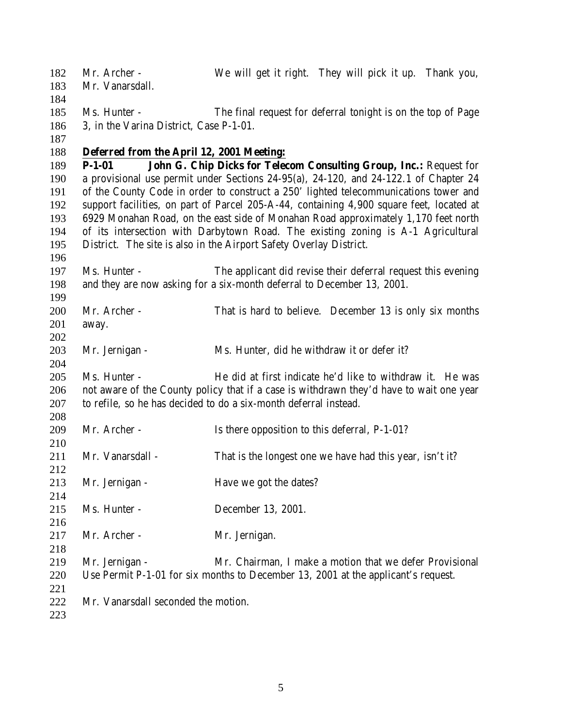| 182 | Mr. Archer -                              | We will get it right. They will pick it up. Thank you,                                   |
|-----|-------------------------------------------|------------------------------------------------------------------------------------------|
| 183 | Mr. Vanarsdall.                           |                                                                                          |
| 184 |                                           |                                                                                          |
| 185 | Ms. Hunter -                              | The final request for deferral tonight is on the top of Page                             |
| 186 | 3, in the Varina District, Case P-1-01.   |                                                                                          |
| 187 |                                           |                                                                                          |
| 188 | Deferred from the April 12, 2001 Meeting: |                                                                                          |
| 189 | $P-1-01$                                  | John G. Chip Dicks for Telecom Consulting Group, Inc.: Request for                       |
| 190 |                                           | a provisional use permit under Sections 24-95(a), 24-120, and 24-122.1 of Chapter 24     |
| 191 |                                           | of the County Code in order to construct a 250' lighted telecommunications tower and     |
| 192 |                                           | support facilities, on part of Parcel 205-A-44, containing 4,900 square feet, located at |
| 193 |                                           | 6929 Monahan Road, on the east side of Monahan Road approximately 1,170 feet north       |
| 194 |                                           | of its intersection with Darbytown Road. The existing zoning is A-1 Agricultural         |
| 195 |                                           | District. The site is also in the Airport Safety Overlay District.                       |
| 196 |                                           |                                                                                          |
| 197 | Ms. Hunter -                              | The applicant did revise their deferral request this evening                             |
| 198 |                                           | and they are now asking for a six-month deferral to December 13, 2001.                   |
| 199 |                                           |                                                                                          |
| 200 | Mr. Archer -                              | That is hard to believe. December 13 is only six months                                  |
| 201 | away.                                     |                                                                                          |
| 202 |                                           |                                                                                          |
| 203 | Mr. Jernigan -                            | Ms. Hunter, did he withdraw it or defer it?                                              |
| 204 |                                           |                                                                                          |
| 205 | Ms. Hunter -                              | He did at first indicate he'd like to withdraw it. He was                                |
| 206 |                                           | not aware of the County policy that if a case is withdrawn they'd have to wait one year  |
| 207 |                                           | to refile, so he has decided to do a six-month deferral instead.                         |
| 208 |                                           |                                                                                          |
| 209 | Mr. Archer -                              | Is there opposition to this deferral, P-1-01?                                            |
| 210 |                                           |                                                                                          |
| 211 | Mr. Vanarsdall -                          | That is the longest one we have had this year, isn't it?                                 |
| 212 |                                           |                                                                                          |
| 213 | Mr. Jernigan -                            | Have we got the dates?                                                                   |
| 214 |                                           |                                                                                          |
| 215 | Ms. Hunter -                              | December 13, 2001.                                                                       |
| 216 |                                           |                                                                                          |
| 217 | Mr. Archer -                              | Mr. Jernigan.                                                                            |
| 218 |                                           |                                                                                          |
| 219 | Mr. Jernigan -                            | Mr. Chairman, I make a motion that we defer Provisional                                  |
| 220 |                                           | Use Permit P-1-01 for six months to December 13, 2001 at the applicant's request.        |
| 221 |                                           |                                                                                          |
| 222 | Mr. Vanarsdall seconded the motion.       |                                                                                          |
| 223 |                                           |                                                                                          |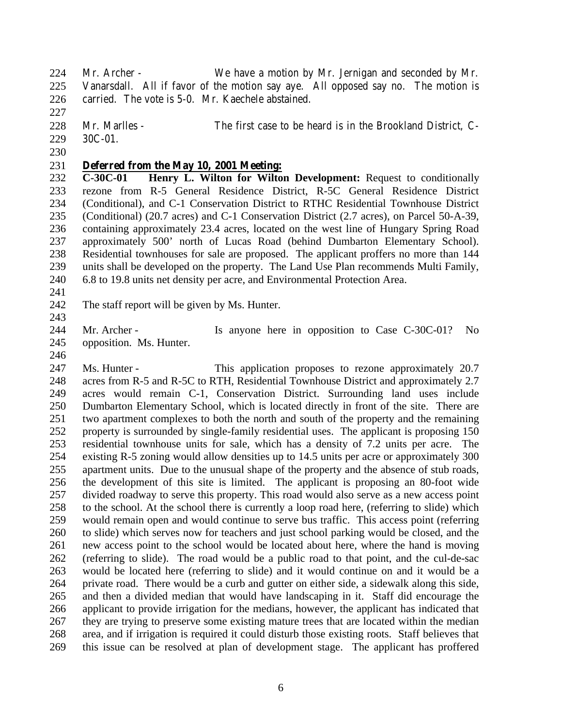Mr. Archer - We have a motion by Mr. Jernigan and seconded by Mr. Vanarsdall. All if favor of the motion say aye. All opposed say no. The motion is carried. The vote is 5-0. Mr. Kaechele abstained.

 Mr. Marlles - The first case to be heard is in the Brookland District, C-30C-01.

## **Deferred from the May 10, 2001 Meeting:**

 **C-30C-01 Henry L. Wilton for Wilton Development:** Request to conditionally rezone from R-5 General Residence District, R-5C General Residence District (Conditional), and C-1 Conservation District to RTHC Residential Townhouse District (Conditional) (20.7 acres) and C-1 Conservation District (2.7 acres), on Parcel 50-A-39, containing approximately 23.4 acres, located on the west line of Hungary Spring Road approximately 500' north of Lucas Road (behind Dumbarton Elementary School). Residential townhouses for sale are proposed. The applicant proffers no more than 144 units shall be developed on the property. The Land Use Plan recommends Multi Family, 6.8 to 19.8 units net density per acre, and Environmental Protection Area.

The staff report will be given by Ms. Hunter.

244 Mr. Archer - Is anyone here in opposition to Case C-30C-01? No opposition. Ms. Hunter.

 Ms. Hunter - This application proposes to rezone approximately 20.7 248 acres from R-5 and R-5C to RTH, Residential Townhouse District and approximately 2.7 acres would remain C-1, Conservation District. Surrounding land uses include Dumbarton Elementary School, which is located directly in front of the site. There are two apartment complexes to both the north and south of the property and the remaining property is surrounded by single-family residential uses. The applicant is proposing 150 residential townhouse units for sale, which has a density of 7.2 units per acre. The existing R-5 zoning would allow densities up to 14.5 units per acre or approximately 300 apartment units. Due to the unusual shape of the property and the absence of stub roads, the development of this site is limited. The applicant is proposing an 80-foot wide divided roadway to serve this property. This road would also serve as a new access point to the school. At the school there is currently a loop road here, (referring to slide) which would remain open and would continue to serve bus traffic. This access point (referring to slide) which serves now for teachers and just school parking would be closed, and the new access point to the school would be located about here, where the hand is moving (referring to slide). The road would be a public road to that point, and the cul-de-sac would be located here (referring to slide) and it would continue on and it would be a private road. There would be a curb and gutter on either side, a sidewalk along this side, and then a divided median that would have landscaping in it. Staff did encourage the applicant to provide irrigation for the medians, however, the applicant has indicated that they are trying to preserve some existing mature trees that are located within the median area, and if irrigation is required it could disturb those existing roots. Staff believes that this issue can be resolved at plan of development stage. The applicant has proffered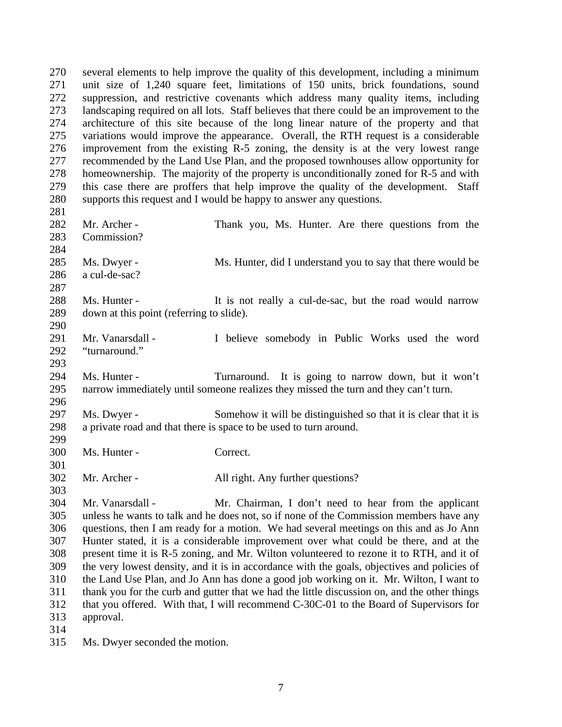several elements to help improve the quality of this development, including a minimum unit size of 1,240 square feet, limitations of 150 units, brick foundations, sound suppression, and restrictive covenants which address many quality items, including landscaping required on all lots. Staff believes that there could be an improvement to the architecture of this site because of the long linear nature of the property and that variations would improve the appearance. Overall, the RTH request is a considerable improvement from the existing R-5 zoning, the density is at the very lowest range recommended by the Land Use Plan, and the proposed townhouses allow opportunity for homeownership. The majority of the property is unconditionally zoned for R-5 and with this case there are proffers that help improve the quality of the development. Staff supports this request and I would be happy to answer any questions. 282 Mr. Archer - Thank you, Ms. Hunter. Are there questions from the Commission? 285 Ms. Dwyer - Ms. Hunter, did I understand you to say that there would be a cul-de-sac? 288 Ms. Hunter - It is not really a cul-de-sac, but the road would narrow down at this point (referring to slide). Mr. Vanarsdall - I believe somebody in Public Works used the word "turnaround." Ms. Hunter - Turnaround. It is going to narrow down, but it won't narrow immediately until someone realizes they missed the turn and they can't turn. Ms. Dwyer - Somehow it will be distinguished so that it is clear that it is a private road and that there is space to be used to turn around. Ms. Hunter - Correct. Mr. Archer - All right. Any further questions? Mr. Vanarsdall - Mr. Chairman, I don't need to hear from the applicant unless he wants to talk and he does not, so if none of the Commission members have any questions, then I am ready for a motion. We had several meetings on this and as Jo Ann Hunter stated, it is a considerable improvement over what could be there, and at the present time it is R-5 zoning, and Mr. Wilton volunteered to rezone it to RTH, and it of the very lowest density, and it is in accordance with the goals, objectives and policies of the Land Use Plan, and Jo Ann has done a good job working on it. Mr. Wilton, I want to thank you for the curb and gutter that we had the little discussion on, and the other things that you offered. With that, I will recommend C-30C-01 to the Board of Supervisors for approval. Ms. Dwyer seconded the motion.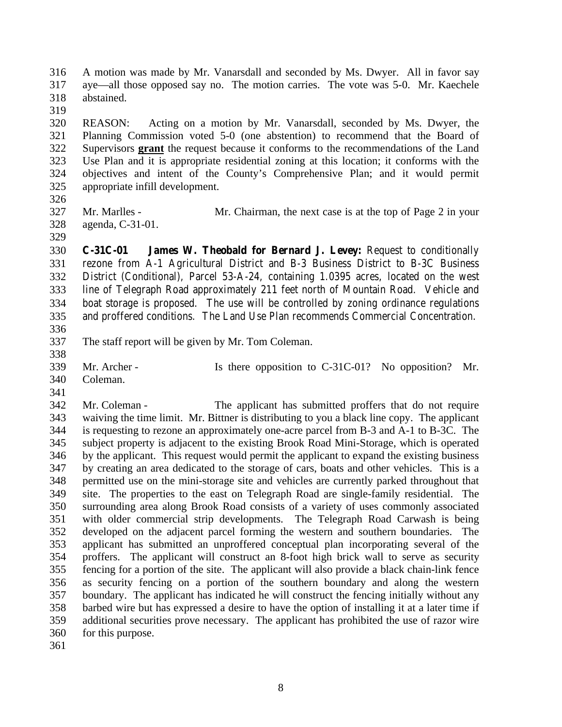A motion was made by Mr. Vanarsdall and seconded by Ms. Dwyer. All in favor say aye—all those opposed say no. The motion carries. The vote was 5-0. Mr. Kaechele abstained.

 REASON: Acting on a motion by Mr. Vanarsdall, seconded by Ms. Dwyer, the Planning Commission voted 5-0 (one abstention) to recommend that the Board of Supervisors **grant** the request because it conforms to the recommendations of the Land Use Plan and it is appropriate residential zoning at this location; it conforms with the objectives and intent of the County's Comprehensive Plan; and it would permit appropriate infill development.

 Mr. Marlles - Mr. Chairman, the next case is at the top of Page 2 in your agenda, C-31-01.

 **C-31C-01 James W. Theobald for Bernard J. Levey:** Request to conditionally rezone from A-1 Agricultural District and B-3 Business District to B-3C Business District (Conditional), Parcel 53-A-24, containing 1.0395 acres, located on the west line of Telegraph Road approximately 211 feet north of Mountain Road. Vehicle and boat storage is proposed. The use will be controlled by zoning ordinance regulations and proffered conditions. The Land Use Plan recommends Commercial Concentration.

- 
- The staff report will be given by Mr. Tom Coleman.
- 339 Mr. Archer Is there opposition to C-31C-01? No opposition? Mr.
- Coleman.

 Mr. Coleman - The applicant has submitted proffers that do not require waiving the time limit. Mr. Bittner is distributing to you a black line copy. The applicant is requesting to rezone an approximately one-acre parcel from B-3 and A-1 to B-3C. The subject property is adjacent to the existing Brook Road Mini-Storage, which is operated by the applicant. This request would permit the applicant to expand the existing business by creating an area dedicated to the storage of cars, boats and other vehicles. This is a permitted use on the mini-storage site and vehicles are currently parked throughout that site. The properties to the east on Telegraph Road are single-family residential. The surrounding area along Brook Road consists of a variety of uses commonly associated with older commercial strip developments. The Telegraph Road Carwash is being developed on the adjacent parcel forming the western and southern boundaries. The applicant has submitted an unproffered conceptual plan incorporating several of the proffers. The applicant will construct an 8-foot high brick wall to serve as security fencing for a portion of the site. The applicant will also provide a black chain-link fence as security fencing on a portion of the southern boundary and along the western boundary. The applicant has indicated he will construct the fencing initially without any barbed wire but has expressed a desire to have the option of installing it at a later time if additional securities prove necessary. The applicant has prohibited the use of razor wire for this purpose.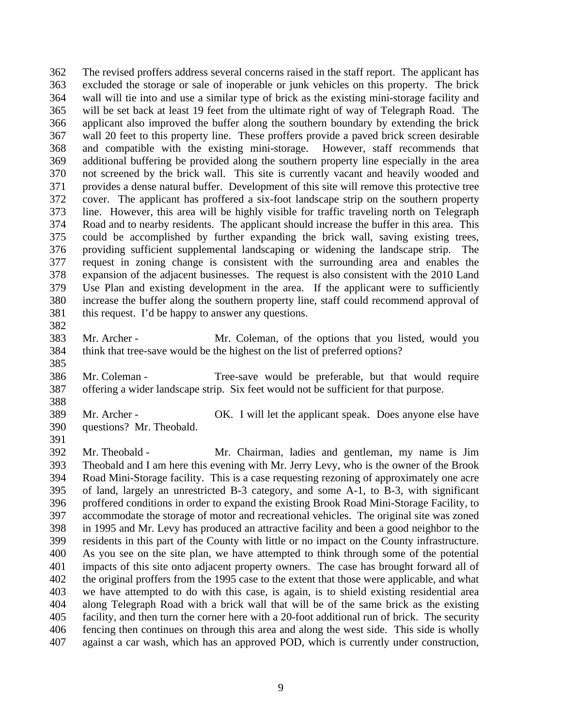The revised proffers address several concerns raised in the staff report. The applicant has excluded the storage or sale of inoperable or junk vehicles on this property. The brick wall will tie into and use a similar type of brick as the existing mini-storage facility and will be set back at least 19 feet from the ultimate right of way of Telegraph Road. The applicant also improved the buffer along the southern boundary by extending the brick wall 20 feet to this property line. These proffers provide a paved brick screen desirable and compatible with the existing mini-storage. However, staff recommends that additional buffering be provided along the southern property line especially in the area not screened by the brick wall. This site is currently vacant and heavily wooded and provides a dense natural buffer. Development of this site will remove this protective tree cover. The applicant has proffered a six-foot landscape strip on the southern property line. However, this area will be highly visible for traffic traveling north on Telegraph Road and to nearby residents. The applicant should increase the buffer in this area. This could be accomplished by further expanding the brick wall, saving existing trees, providing sufficient supplemental landscaping or widening the landscape strip. The request in zoning change is consistent with the surrounding area and enables the expansion of the adjacent businesses. The request is also consistent with the 2010 Land Use Plan and existing development in the area. If the applicant were to sufficiently increase the buffer along the southern property line, staff could recommend approval of this request. I'd be happy to answer any questions. 

- Mr. Archer Mr. Coleman, of the options that you listed, would you think that tree-save would be the highest on the list of preferred options?
- 

 Mr. Coleman - Tree-save would be preferable, but that would require offering a wider landscape strip. Six feet would not be sufficient for that purpose.

- 
- Mr. Archer OK. I will let the applicant speak. Does anyone else have
- questions? Mr. Theobald.
- 

 Mr. Theobald - Mr. Chairman, ladies and gentleman, my name is Jim Theobald and I am here this evening with Mr. Jerry Levy, who is the owner of the Brook Road Mini-Storage facility. This is a case requesting rezoning of approximately one acre of land, largely an unrestricted B-3 category, and some A-1, to B-3, with significant proffered conditions in order to expand the existing Brook Road Mini-Storage Facility, to accommodate the storage of motor and recreational vehicles. The original site was zoned in 1995 and Mr. Levy has produced an attractive facility and been a good neighbor to the residents in this part of the County with little or no impact on the County infrastructure. As you see on the site plan, we have attempted to think through some of the potential impacts of this site onto adjacent property owners. The case has brought forward all of the original proffers from the 1995 case to the extent that those were applicable, and what we have attempted to do with this case, is again, is to shield existing residential area along Telegraph Road with a brick wall that will be of the same brick as the existing facility, and then turn the corner here with a 20-foot additional run of brick. The security fencing then continues on through this area and along the west side. This side is wholly against a car wash, which has an approved POD, which is currently under construction,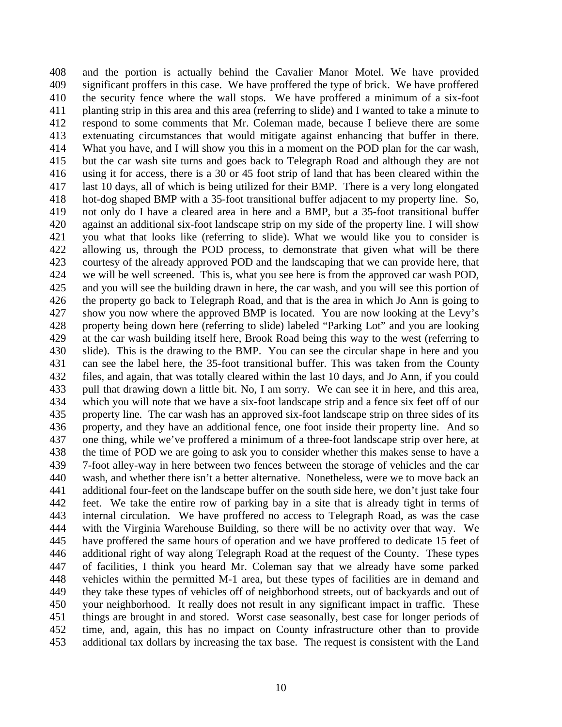and the portion is actually behind the Cavalier Manor Motel. We have provided significant proffers in this case. We have proffered the type of brick. We have proffered the security fence where the wall stops. We have proffered a minimum of a six-foot planting strip in this area and this area (referring to slide) and I wanted to take a minute to respond to some comments that Mr. Coleman made, because I believe there are some extenuating circumstances that would mitigate against enhancing that buffer in there. What you have, and I will show you this in a moment on the POD plan for the car wash, but the car wash site turns and goes back to Telegraph Road and although they are not using it for access, there is a 30 or 45 foot strip of land that has been cleared within the last 10 days, all of which is being utilized for their BMP. There is a very long elongated hot-dog shaped BMP with a 35-foot transitional buffer adjacent to my property line. So, not only do I have a cleared area in here and a BMP, but a 35-foot transitional buffer against an additional six-foot landscape strip on my side of the property line. I will show you what that looks like (referring to slide). What we would like you to consider is allowing us, through the POD process, to demonstrate that given what will be there courtesy of the already approved POD and the landscaping that we can provide here, that we will be well screened. This is, what you see here is from the approved car wash POD, and you will see the building drawn in here, the car wash, and you will see this portion of the property go back to Telegraph Road, and that is the area in which Jo Ann is going to show you now where the approved BMP is located. You are now looking at the Levy's property being down here (referring to slide) labeled "Parking Lot" and you are looking at the car wash building itself here, Brook Road being this way to the west (referring to slide). This is the drawing to the BMP. You can see the circular shape in here and you can see the label here, the 35-foot transitional buffer. This was taken from the County files, and again, that was totally cleared within the last 10 days, and Jo Ann, if you could pull that drawing down a little bit. No, I am sorry. We can see it in here, and this area, which you will note that we have a six-foot landscape strip and a fence six feet off of our property line. The car wash has an approved six-foot landscape strip on three sides of its property, and they have an additional fence, one foot inside their property line. And so one thing, while we've proffered a minimum of a three-foot landscape strip over here, at the time of POD we are going to ask you to consider whether this makes sense to have a 7-foot alley-way in here between two fences between the storage of vehicles and the car wash, and whether there isn't a better alternative. Nonetheless, were we to move back an additional four-feet on the landscape buffer on the south side here, we don't just take four feet. We take the entire row of parking bay in a site that is already tight in terms of internal circulation. We have proffered no access to Telegraph Road, as was the case with the Virginia Warehouse Building, so there will be no activity over that way. We have proffered the same hours of operation and we have proffered to dedicate 15 feet of additional right of way along Telegraph Road at the request of the County. These types of facilities, I think you heard Mr. Coleman say that we already have some parked vehicles within the permitted M-1 area, but these types of facilities are in demand and they take these types of vehicles off of neighborhood streets, out of backyards and out of your neighborhood. It really does not result in any significant impact in traffic. These things are brought in and stored. Worst case seasonally, best case for longer periods of time, and, again, this has no impact on County infrastructure other than to provide additional tax dollars by increasing the tax base. The request is consistent with the Land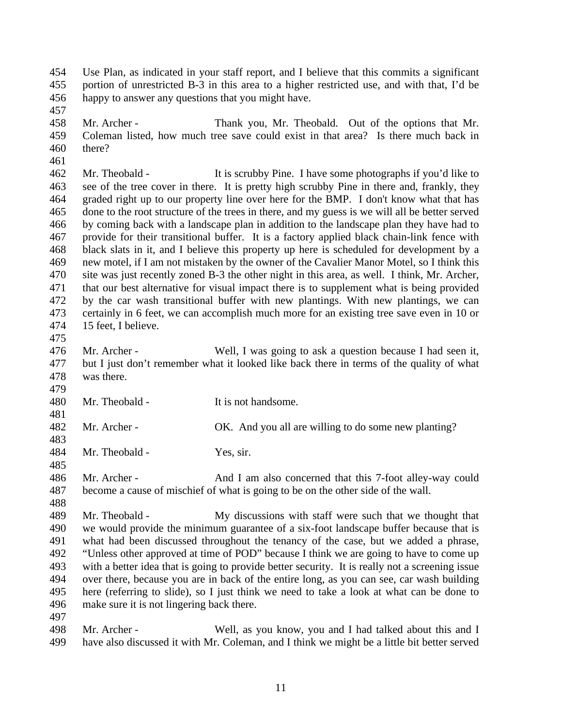Use Plan, as indicated in your staff report, and I believe that this commits a significant portion of unrestricted B-3 in this area to a higher restricted use, and with that, I'd be happy to answer any questions that you might have.

- Mr. Archer - Thank you, Mr. Theobald. Out of the options that Mr. Coleman listed, how much tree save could exist in that area? Is there much back in there?
- 

 Mr. Theobald - It is scrubby Pine. I have some photographs if you'd like to see of the tree cover in there. It is pretty high scrubby Pine in there and, frankly, they graded right up to our property line over here for the BMP. I don't know what that has done to the root structure of the trees in there, and my guess is we will all be better served by coming back with a landscape plan in addition to the landscape plan they have had to provide for their transitional buffer. It is a factory applied black chain-link fence with black slats in it, and I believe this property up here is scheduled for development by a new motel, if I am not mistaken by the owner of the Cavalier Manor Motel, so I think this site was just recently zoned B-3 the other night in this area, as well. I think, Mr. Archer, that our best alternative for visual impact there is to supplement what is being provided by the car wash transitional buffer with new plantings. With new plantings, we can certainly in 6 feet, we can accomplish much more for an existing tree save even in 10 or 15 feet, I believe.

476 Mr. Archer - Well, I was going to ask a question because I had seen it, but I just don't remember what it looked like back there in terms of the quality of what was there.

 480 Mr. Theobald - It is not handsome. 482 Mr. Archer - OK. And you all are willing to do some new planting? 

 Mr. Theobald - Yes, sir. 

 Mr. Archer - And I am also concerned that this 7-foot alley-way could become a cause of mischief of what is going to be on the other side of the wall. 

 Mr. Theobald - My discussions with staff were such that we thought that we would provide the minimum guarantee of a six-foot landscape buffer because that is what had been discussed throughout the tenancy of the case, but we added a phrase, "Unless other approved at time of POD" because I think we are going to have to come up with a better idea that is going to provide better security. It is really not a screening issue over there, because you are in back of the entire long, as you can see, car wash building here (referring to slide), so I just think we need to take a look at what can be done to make sure it is not lingering back there.

498 Mr. Archer - Well, as you know, you and I had talked about this and I have also discussed it with Mr. Coleman, and I think we might be a little bit better served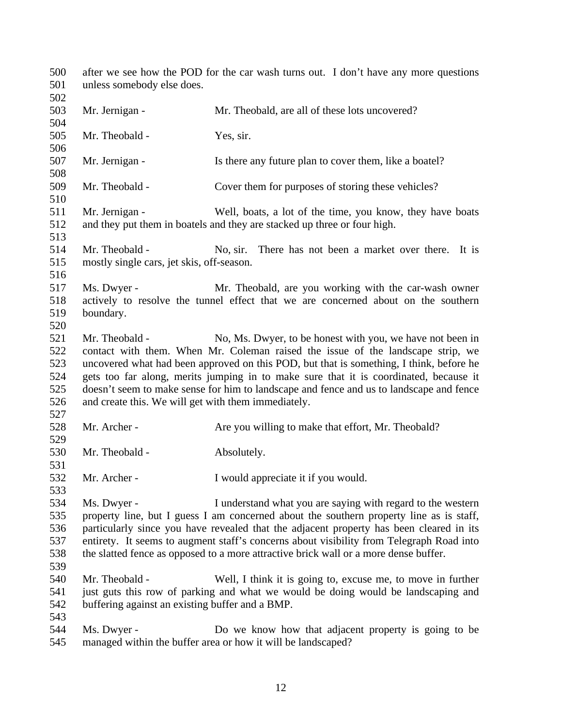after we see how the POD for the car wash turns out. I don't have any more questions unless somebody else does. Mr. Jernigan - Mr. Theobald, are all of these lots uncovered? Mr. Theobald - Yes, sir. 507 Mr. Jernigan - Is there any future plan to cover them, like a boatel? Mr. Theobald - Cover them for purposes of storing these vehicles? Mr. Jernigan - Well, boats, a lot of the time, you know, they have boats and they put them in boatels and they are stacked up three or four high. Mr. Theobald - No, sir. There has not been a market over there. It is mostly single cars, jet skis, off-season. Ms. Dwyer - Mr. Theobald, are you working with the car-wash owner actively to resolve the tunnel effect that we are concerned about on the southern boundary. 521 Mr. Theobald - No, Ms. Dwyer, to be honest with you, we have not been in contact with them. When Mr. Coleman raised the issue of the landscape strip, we uncovered what had been approved on this POD, but that is something, I think, before he gets too far along, merits jumping in to make sure that it is coordinated, because it doesn't seem to make sense for him to landscape and fence and us to landscape and fence and create this. We will get with them immediately. 528 Mr. Archer - Are you willing to make that effort, Mr. Theobald? 530 Mr. Theobald - Absolutely. Mr. Archer - I would appreciate it if you would. Ms. Dwyer - I understand what you are saying with regard to the western property line, but I guess I am concerned about the southern property line as is staff, particularly since you have revealed that the adjacent property has been cleared in its entirety. It seems to augment staff's concerns about visibility from Telegraph Road into the slatted fence as opposed to a more attractive brick wall or a more dense buffer. 539<br>540 Mr. Theobald - Well, I think it is going to, excuse me, to move in further just guts this row of parking and what we would be doing would be landscaping and buffering against an existing buffer and a BMP. Ms. Dwyer - Do we know how that adjacent property is going to be managed within the buffer area or how it will be landscaped?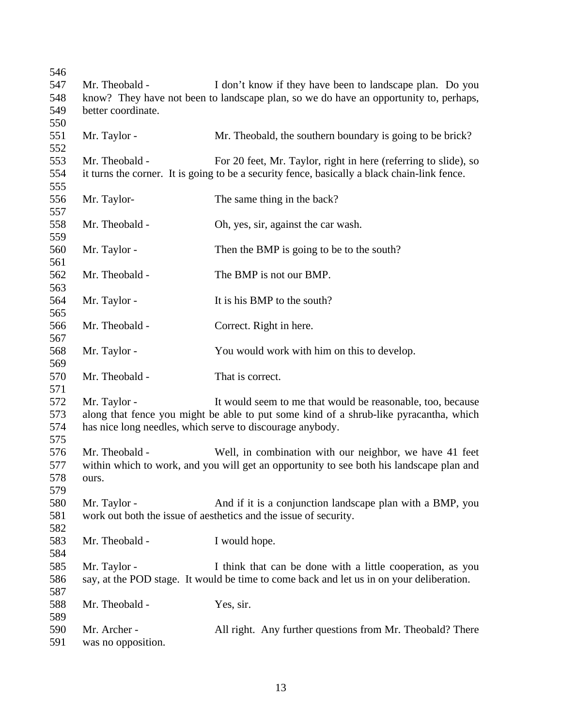| 546        |                    |                                                                                              |
|------------|--------------------|----------------------------------------------------------------------------------------------|
| 547        | Mr. Theobald -     | I don't know if they have been to landscape plan. Do you                                     |
| 548        |                    | know? They have not been to landscape plan, so we do have an opportunity to, perhaps,        |
| 549        | better coordinate. |                                                                                              |
| 550        |                    |                                                                                              |
| 551        | Mr. Taylor -       | Mr. Theobald, the southern boundary is going to be brick?                                    |
| 552        |                    |                                                                                              |
| 553        | Mr. Theobald -     | For 20 feet, Mr. Taylor, right in here (referring to slide), so                              |
| 554<br>555 |                    | it turns the corner. It is going to be a security fence, basically a black chain-link fence. |
| 556<br>557 | Mr. Taylor-        | The same thing in the back?                                                                  |
| 558        | Mr. Theobald -     | Oh, yes, sir, against the car wash.                                                          |
| 559        |                    |                                                                                              |
| 560        | Mr. Taylor -       | Then the BMP is going to be to the south?                                                    |
| 561        |                    |                                                                                              |
| 562        | Mr. Theobald -     | The BMP is not our BMP.                                                                      |
| 563        |                    |                                                                                              |
| 564        | Mr. Taylor -       | It is his BMP to the south?                                                                  |
| 565        |                    |                                                                                              |
| 566        | Mr. Theobald -     | Correct. Right in here.                                                                      |
| 567        |                    |                                                                                              |
| 568        | Mr. Taylor -       | You would work with him on this to develop.                                                  |
| 569        |                    |                                                                                              |
| 570        | Mr. Theobald -     | That is correct.                                                                             |
| 571        |                    |                                                                                              |
| 572        | Mr. Taylor -       | It would seem to me that would be reasonable, too, because                                   |
| 573        |                    | along that fence you might be able to put some kind of a shrub-like pyracantha, which        |
| 574        |                    | has nice long needles, which serve to discourage anybody.                                    |
| 575        |                    |                                                                                              |
| 576        | Mr. Theobald -     | Well, in combination with our neighbor, we have 41 feet                                      |
| 577        |                    | within which to work, and you will get an opportunity to see both his landscape plan and     |
| 578        | ours.              |                                                                                              |
| 579        |                    |                                                                                              |
| 580        | Mr. Taylor -       | And if it is a conjunction landscape plan with a BMP, you                                    |
| 581        |                    | work out both the issue of aesthetics and the issue of security.                             |
| 582        |                    |                                                                                              |
| 583        | Mr. Theobald -     | I would hope.                                                                                |
| 584        |                    |                                                                                              |
| 585        | Mr. Taylor -       | I think that can be done with a little cooperation, as you                                   |
| 586        |                    | say, at the POD stage. It would be time to come back and let us in on your deliberation.     |
| 587        |                    |                                                                                              |
| 588        | Mr. Theobald -     | Yes, sir.                                                                                    |
| 589        |                    |                                                                                              |
| 590        | Mr. Archer -       | All right. Any further questions from Mr. Theobald? There                                    |
| 591        | was no opposition. |                                                                                              |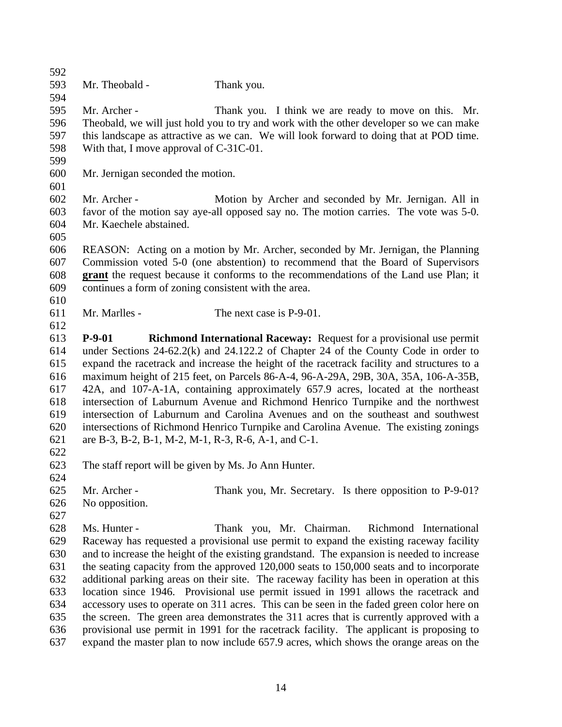| 592 |                                                      |                                                                                            |
|-----|------------------------------------------------------|--------------------------------------------------------------------------------------------|
| 593 | Mr. Theobald -                                       | Thank you.                                                                                 |
| 594 |                                                      |                                                                                            |
| 595 | Mr. Archer -                                         | Thank you. I think we are ready to move on this. Mr.                                       |
| 596 |                                                      | Theobald, we will just hold you to try and work with the other developer so we can make    |
| 597 |                                                      | this landscape as attractive as we can. We will look forward to doing that at POD time.    |
| 598 | With that, I move approval of C-31C-01.              |                                                                                            |
| 599 |                                                      |                                                                                            |
| 600 | Mr. Jernigan seconded the motion.                    |                                                                                            |
| 601 |                                                      |                                                                                            |
| 602 | Mr. Archer -                                         | Motion by Archer and seconded by Mr. Jernigan. All in                                      |
| 603 |                                                      | favor of the motion say aye-all opposed say no. The motion carries. The vote was 5-0.      |
| 604 | Mr. Kaechele abstained.                              |                                                                                            |
| 605 |                                                      |                                                                                            |
| 606 |                                                      | REASON: Acting on a motion by Mr. Archer, seconded by Mr. Jernigan, the Planning           |
| 607 |                                                      | Commission voted 5-0 (one abstention) to recommend that the Board of Supervisors           |
| 608 |                                                      | grant the request because it conforms to the recommendations of the Land use Plan; it      |
| 609 | continues a form of zoning consistent with the area. |                                                                                            |
| 610 |                                                      |                                                                                            |
| 611 | Mr. Marlles -                                        | The next case is P-9-01.                                                                   |
| 612 |                                                      |                                                                                            |
| 613 | $P-9-01$                                             | Richmond International Raceway: Request for a provisional use permit                       |
| 614 |                                                      | under Sections $24-62.2(k)$ and $24.122.2$ of Chapter 24 of the County Code in order to    |
| 615 |                                                      | expand the racetrack and increase the height of the racetrack facility and structures to a |
| 616 |                                                      | maximum height of 215 feet, on Parcels 86-A-4, 96-A-29A, 29B, 30A, 35A, 106-A-35B,         |
| 617 |                                                      | 42A, and 107-A-1A, containing approximately 657.9 acres, located at the northeast          |
| 618 |                                                      | intersection of Laburnum Avenue and Richmond Henrico Turnpike and the northwest            |
| 619 |                                                      | intersection of Laburnum and Carolina Avenues and on the southeast and southwest           |
| 620 |                                                      | intersections of Richmond Henrico Turnpike and Carolina Avenue. The existing zonings       |
| 621 | are B-3, B-2, B-1, M-2, M-1, R-3, R-6, A-1, and C-1. |                                                                                            |
| 622 |                                                      |                                                                                            |
| 623 | The staff report will be given by Ms. Jo Ann Hunter. |                                                                                            |
| 624 |                                                      |                                                                                            |
| 625 | Mr. Archer -                                         | Thank you, Mr. Secretary. Is there opposition to P-9-01?                                   |
| 626 | No opposition.                                       |                                                                                            |
| 627 |                                                      |                                                                                            |
| 628 | Ms. Hunter -                                         | Thank you, Mr. Chairman.<br>Richmond International                                         |
| 629 |                                                      | Raceway has requested a provisional use permit to expand the existing raceway facility     |
| 630 |                                                      | and to increase the height of the existing grandstand. The expansion is needed to increase |
| 631 |                                                      | the seating capacity from the approved 120,000 seats to 150,000 seats and to incorporate   |
| 632 |                                                      | additional parking areas on their site. The raceway facility has been in operation at this |
| 633 |                                                      | location since 1946. Provisional use permit issued in 1991 allows the racetrack and        |
| 634 |                                                      | accessory uses to operate on 311 acres. This can be seen in the faded green color here on  |
| 635 |                                                      | the screen. The green area demonstrates the 311 acres that is currently approved with a    |
| 636 |                                                      | provisional use permit in 1991 for the racetrack facility. The applicant is proposing to   |
| 637 |                                                      | expand the master plan to now include 657.9 acres, which shows the orange areas on the     |
|     |                                                      |                                                                                            |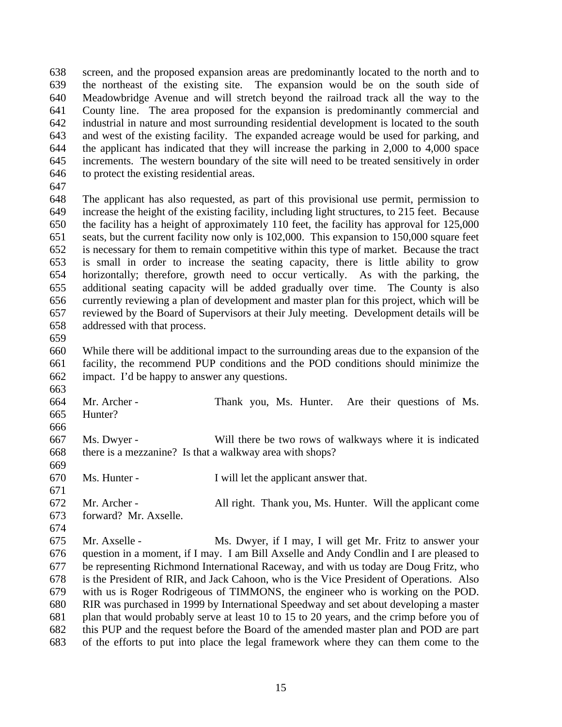screen, and the proposed expansion areas are predominantly located to the north and to the northeast of the existing site. The expansion would be on the south side of Meadowbridge Avenue and will stretch beyond the railroad track all the way to the County line. The area proposed for the expansion is predominantly commercial and industrial in nature and most surrounding residential development is located to the south and west of the existing facility. The expanded acreage would be used for parking, and the applicant has indicated that they will increase the parking in 2,000 to 4,000 space increments. The western boundary of the site will need to be treated sensitively in order to protect the existing residential areas.

 The applicant has also requested, as part of this provisional use permit, permission to increase the height of the existing facility, including light structures, to 215 feet. Because the facility has a height of approximately 110 feet, the facility has approval for 125,000 seats, but the current facility now only is 102,000. This expansion to 150,000 square feet is necessary for them to remain competitive within this type of market. Because the tract is small in order to increase the seating capacity, there is little ability to grow horizontally; therefore, growth need to occur vertically. As with the parking, the additional seating capacity will be added gradually over time. The County is also currently reviewing a plan of development and master plan for this project, which will be reviewed by the Board of Supervisors at their July meeting. Development details will be addressed with that process.

 While there will be additional impact to the surrounding areas due to the expansion of the facility, the recommend PUP conditions and the POD conditions should minimize the impact. I'd be happy to answer any questions.

 Mr. Archer - Thank you, Ms. Hunter. Are their questions of Ms. Hunter? Ms. Dwyer - Will there be two rows of walkways where it is indicated there is a mezzanine? Is that a walkway area with shops? 

 Ms. Hunter - I will let the applicant answer that. Mr. Archer - All right. Thank you, Ms. Hunter. Will the applicant come forward? Mr. Axselle.

 Mr. Axselle - Ms. Dwyer, if I may, I will get Mr. Fritz to answer your question in a moment, if I may. I am Bill Axselle and Andy Condlin and I are pleased to be representing Richmond International Raceway, and with us today are Doug Fritz, who is the President of RIR, and Jack Cahoon, who is the Vice President of Operations. Also with us is Roger Rodrigeous of TIMMONS, the engineer who is working on the POD. RIR was purchased in 1999 by International Speedway and set about developing a master plan that would probably serve at least 10 to 15 to 20 years, and the crimp before you of this PUP and the request before the Board of the amended master plan and POD are part of the efforts to put into place the legal framework where they can them come to the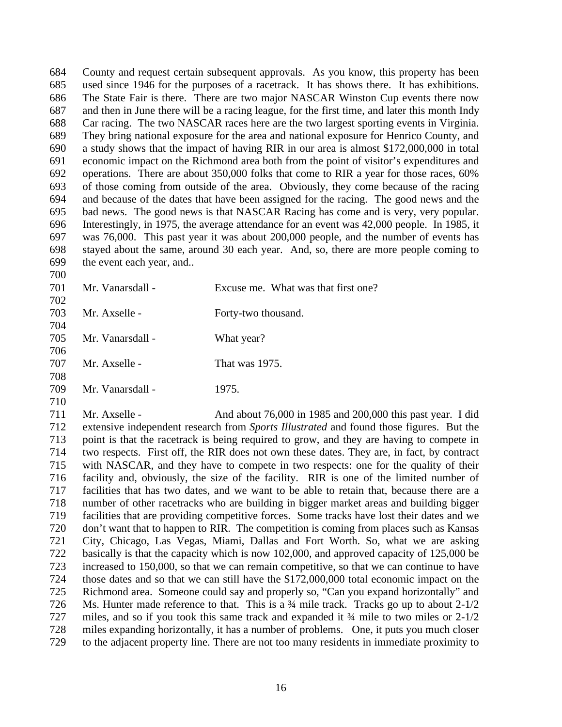County and request certain subsequent approvals. As you know, this property has been used since 1946 for the purposes of a racetrack. It has shows there. It has exhibitions. The State Fair is there. There are two major NASCAR Winston Cup events there now and then in June there will be a racing league, for the first time, and later this month Indy Car racing. The two NASCAR races here are the two largest sporting events in Virginia. They bring national exposure for the area and national exposure for Henrico County, and a study shows that the impact of having RIR in our area is almost \$172,000,000 in total economic impact on the Richmond area both from the point of visitor's expenditures and operations. There are about 350,000 folks that come to RIR a year for those races, 60% of those coming from outside of the area. Obviously, they come because of the racing and because of the dates that have been assigned for the racing. The good news and the bad news. The good news is that NASCAR Racing has come and is very, very popular. Interestingly, in 1975, the average attendance for an event was 42,000 people. In 1985, it was 76,000. This past year it was about 200,000 people, and the number of events has stayed about the same, around 30 each year. And, so, there are more people coming to the event each year, and..

 Mr. Vanarsdall - Excuse me. What was that first one? Mr. Axselle - Forty-two thousand. Mr. Vanarsdall - What year? 707 Mr. Axselle - That was 1975.

Mr. Vanarsdall - 1975.

 Mr. Axselle - And about 76,000 in 1985 and 200,000 this past year. I did extensive independent research from *Sports Illustrated* and found those figures. But the point is that the racetrack is being required to grow, and they are having to compete in two respects. First off, the RIR does not own these dates. They are, in fact, by contract with NASCAR, and they have to compete in two respects: one for the quality of their facility and, obviously, the size of the facility. RIR is one of the limited number of facilities that has two dates, and we want to be able to retain that, because there are a number of other racetracks who are building in bigger market areas and building bigger facilities that are providing competitive forces. Some tracks have lost their dates and we don't want that to happen to RIR. The competition is coming from places such as Kansas City, Chicago, Las Vegas, Miami, Dallas and Fort Worth. So, what we are asking basically is that the capacity which is now 102,000, and approved capacity of 125,000 be increased to 150,000, so that we can remain competitive, so that we can continue to have those dates and so that we can still have the \$172,000,000 total economic impact on the Richmond area. Someone could say and properly so, "Can you expand horizontally" and Ms. Hunter made reference to that. This is a ¾ mile track. Tracks go up to about 2-1/2 miles, and so if you took this same track and expanded it ¾ mile to two miles or 2-1/2 miles expanding horizontally, it has a number of problems. One, it puts you much closer to the adjacent property line. There are not too many residents in immediate proximity to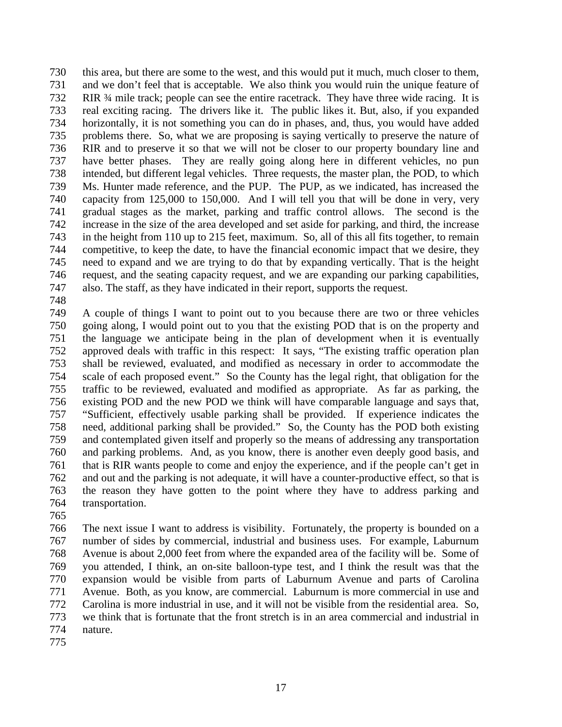this area, but there are some to the west, and this would put it much, much closer to them, and we don't feel that is acceptable. We also think you would ruin the unique feature of RIR ¾ mile track; people can see the entire racetrack. They have three wide racing. It is real exciting racing. The drivers like it. The public likes it. But, also, if you expanded horizontally, it is not something you can do in phases, and, thus, you would have added problems there. So, what we are proposing is saying vertically to preserve the nature of RIR and to preserve it so that we will not be closer to our property boundary line and have better phases. They are really going along here in different vehicles, no pun intended, but different legal vehicles. Three requests, the master plan, the POD, to which Ms. Hunter made reference, and the PUP. The PUP, as we indicated, has increased the capacity from 125,000 to 150,000. And I will tell you that will be done in very, very gradual stages as the market, parking and traffic control allows. The second is the increase in the size of the area developed and set aside for parking, and third, the increase in the height from 110 up to 215 feet, maximum. So, all of this all fits together, to remain competitive, to keep the date, to have the financial economic impact that we desire, they need to expand and we are trying to do that by expanding vertically. That is the height request, and the seating capacity request, and we are expanding our parking capabilities, also. The staff, as they have indicated in their report, supports the request.

 A couple of things I want to point out to you because there are two or three vehicles going along, I would point out to you that the existing POD that is on the property and the language we anticipate being in the plan of development when it is eventually approved deals with traffic in this respect: It says, "The existing traffic operation plan shall be reviewed, evaluated, and modified as necessary in order to accommodate the scale of each proposed event." So the County has the legal right, that obligation for the traffic to be reviewed, evaluated and modified as appropriate. As far as parking, the existing POD and the new POD we think will have comparable language and says that, "Sufficient, effectively usable parking shall be provided. If experience indicates the need, additional parking shall be provided." So, the County has the POD both existing and contemplated given itself and properly so the means of addressing any transportation and parking problems. And, as you know, there is another even deeply good basis, and that is RIR wants people to come and enjoy the experience, and if the people can't get in and out and the parking is not adequate, it will have a counter-productive effect, so that is the reason they have gotten to the point where they have to address parking and transportation.

 The next issue I want to address is visibility. Fortunately, the property is bounded on a number of sides by commercial, industrial and business uses. For example, Laburnum Avenue is about 2,000 feet from where the expanded area of the facility will be. Some of you attended, I think, an on-site balloon-type test, and I think the result was that the expansion would be visible from parts of Laburnum Avenue and parts of Carolina Avenue. Both, as you know, are commercial. Laburnum is more commercial in use and Carolina is more industrial in use, and it will not be visible from the residential area. So, we think that is fortunate that the front stretch is in an area commercial and industrial in nature.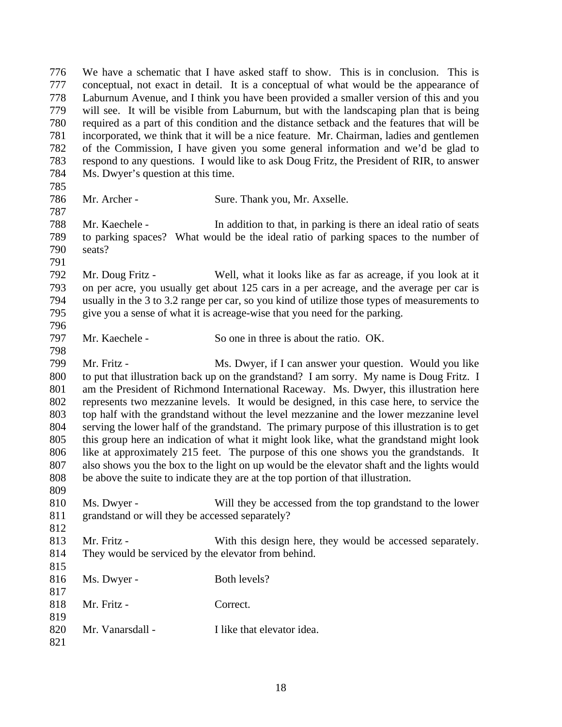We have a schematic that I have asked staff to show. This is in conclusion. This is conceptual, not exact in detail. It is a conceptual of what would be the appearance of Laburnum Avenue, and I think you have been provided a smaller version of this and you will see. It will be visible from Laburnum, but with the landscaping plan that is being required as a part of this condition and the distance setback and the features that will be incorporated, we think that it will be a nice feature. Mr. Chairman, ladies and gentlemen of the Commission, I have given you some general information and we'd be glad to respond to any questions. I would like to ask Doug Fritz, the President of RIR, to answer Ms. Dwyer's question at this time. Mr. Archer - Sure. Thank you, Mr. Axselle. Mr. Kaechele - In addition to that, in parking is there an ideal ratio of seats to parking spaces? What would be the ideal ratio of parking spaces to the number of seats? Mr. Doug Fritz - Well, what it looks like as far as acreage, if you look at it on per acre, you usually get about 125 cars in a per acreage, and the average per car is usually in the 3 to 3.2 range per car, so you kind of utilize those types of measurements to give you a sense of what it is acreage-wise that you need for the parking. Mr. Kaechele - So one in three is about the ratio. OK. Mr. Fritz - Ms. Dwyer, if I can answer your question. Would you like to put that illustration back up on the grandstand? I am sorry. My name is Doug Fritz. I am the President of Richmond International Raceway. Ms. Dwyer, this illustration here represents two mezzanine levels. It would be designed, in this case here, to service the top half with the grandstand without the level mezzanine and the lower mezzanine level serving the lower half of the grandstand. The primary purpose of this illustration is to get this group here an indication of what it might look like, what the grandstand might look like at approximately 215 feet. The purpose of this one shows you the grandstands. It also shows you the box to the light on up would be the elevator shaft and the lights would be above the suite to indicate they are at the top portion of that illustration. Ms. Dwyer - Will they be accessed from the top grandstand to the lower grandstand or will they be accessed separately? Mr. Fritz - With this design here, they would be accessed separately. They would be serviced by the elevator from behind. 816 Ms. Dwyer - Both levels? Mr. Fritz - Correct. 820 Mr. Vanarsdall - I like that elevator idea.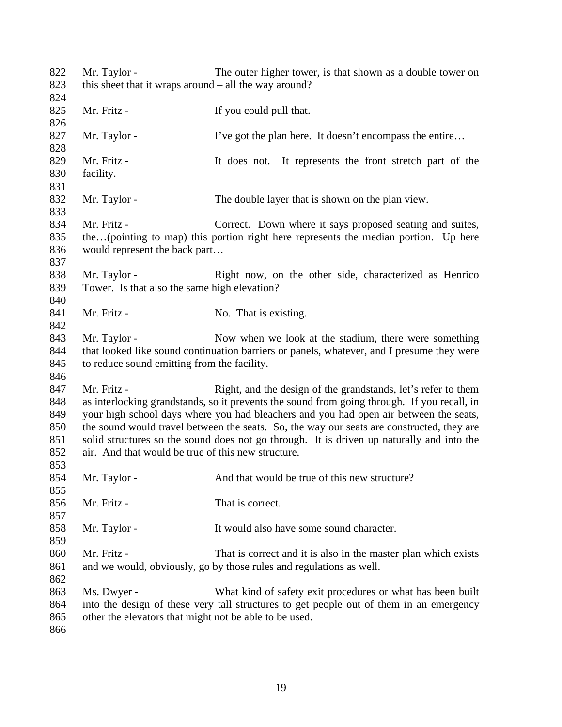Mr. Taylor - The outer higher tower, is that shown as a double tower on this sheet that it wraps around – all the way around? 825 Mr. Fritz - If you could pull that. 827 Mr. Taylor - I've got the plan here. It doesn't encompass the entire... Mr. Fritz - It does not. It represents the front stretch part of the facility. 832 Mr. Taylor - The double layer that is shown on the plan view. 834 Mr. Fritz - Correct. Down where it says proposed seating and suites, the…(pointing to map) this portion right here represents the median portion. Up here would represent the back part… 838 Mr. Taylor - Right now, on the other side, characterized as Henrico Tower. Is that also the same high elevation? 841 Mr. Fritz - No. That is existing. 843 Mr. Taylor - Now when we look at the stadium, there were something that looked like sound continuation barriers or panels, whatever, and I presume they were to reduce sound emitting from the facility. 847 Mr. Fritz - Right, and the design of the grandstands, let's refer to them as interlocking grandstands, so it prevents the sound from going through. If you recall, in your high school days where you had bleachers and you had open air between the seats, the sound would travel between the seats. So, the way our seats are constructed, they are solid structures so the sound does not go through. It is driven up naturally and into the air. And that would be true of this new structure. 854 Mr. Taylor - And that would be true of this new structure? Mr. Fritz - That is correct. Mr. Taylor - It would also have some sound character. Mr. Fritz - That is correct and it is also in the master plan which exists and we would, obviously, go by those rules and regulations as well. Ms. Dwyer - What kind of safety exit procedures or what has been built into the design of these very tall structures to get people out of them in an emergency other the elevators that might not be able to be used.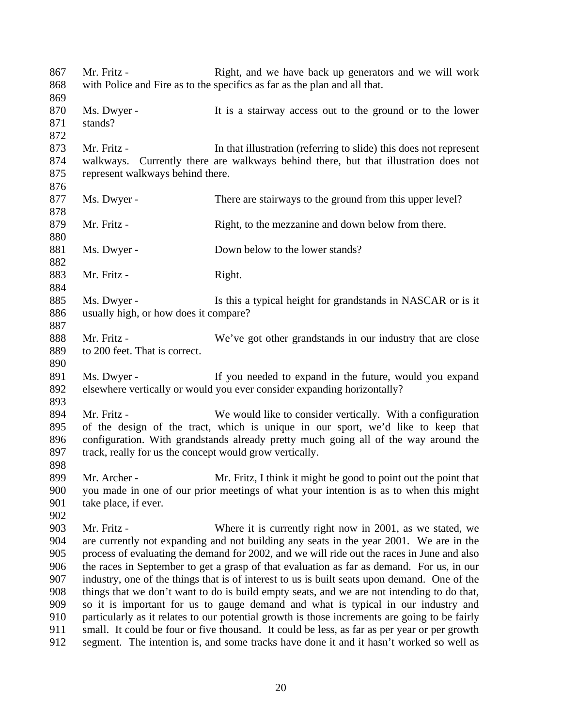| 867<br>868                                                         | Mr. Fritz -                                                            | Right, and we have back up generators and we will work<br>with Police and Fire as to the specifics as far as the plan and all that.                                                                                                                                                                                                                                                                                                                                                                                                                                                                                                                                                                                                                                                                                                                                                                                           |
|--------------------------------------------------------------------|------------------------------------------------------------------------|-------------------------------------------------------------------------------------------------------------------------------------------------------------------------------------------------------------------------------------------------------------------------------------------------------------------------------------------------------------------------------------------------------------------------------------------------------------------------------------------------------------------------------------------------------------------------------------------------------------------------------------------------------------------------------------------------------------------------------------------------------------------------------------------------------------------------------------------------------------------------------------------------------------------------------|
| 869<br>870<br>871                                                  | Ms. Dwyer -<br>stands?                                                 | It is a stairway access out to the ground or to the lower                                                                                                                                                                                                                                                                                                                                                                                                                                                                                                                                                                                                                                                                                                                                                                                                                                                                     |
| 872<br>873<br>874<br>875<br>876                                    | Mr. Fritz -<br>walkways.<br>represent walkways behind there.           | In that illustration (referring to slide) this does not represent<br>Currently there are walkways behind there, but that illustration does not                                                                                                                                                                                                                                                                                                                                                                                                                                                                                                                                                                                                                                                                                                                                                                                |
| 877<br>878                                                         | Ms. Dwyer -                                                            | There are stairways to the ground from this upper level?                                                                                                                                                                                                                                                                                                                                                                                                                                                                                                                                                                                                                                                                                                                                                                                                                                                                      |
| 879<br>880                                                         | Mr. Fritz -                                                            | Right, to the mezzanine and down below from there.                                                                                                                                                                                                                                                                                                                                                                                                                                                                                                                                                                                                                                                                                                                                                                                                                                                                            |
| 881<br>882                                                         | Ms. Dwyer -                                                            | Down below to the lower stands?                                                                                                                                                                                                                                                                                                                                                                                                                                                                                                                                                                                                                                                                                                                                                                                                                                                                                               |
| 883<br>884                                                         | Mr. Fritz -                                                            | Right.                                                                                                                                                                                                                                                                                                                                                                                                                                                                                                                                                                                                                                                                                                                                                                                                                                                                                                                        |
| 885<br>886<br>887                                                  | Ms. Dwyer -<br>usually high, or how does it compare?                   | Is this a typical height for grandstands in NASCAR or is it                                                                                                                                                                                                                                                                                                                                                                                                                                                                                                                                                                                                                                                                                                                                                                                                                                                                   |
| 888<br>889<br>890                                                  | Mr. Fritz -<br>to 200 feet. That is correct.                           | We've got other grandstands in our industry that are close                                                                                                                                                                                                                                                                                                                                                                                                                                                                                                                                                                                                                                                                                                                                                                                                                                                                    |
| 891<br>892<br>893                                                  | Ms. Dwyer -                                                            | If you needed to expand in the future, would you expand<br>elsewhere vertically or would you ever consider expanding horizontally?                                                                                                                                                                                                                                                                                                                                                                                                                                                                                                                                                                                                                                                                                                                                                                                            |
| 894<br>895<br>896<br>897<br>898                                    | Mr. Fritz -<br>track, really for us the concept would grow vertically. | We would like to consider vertically. With a configuration<br>of the design of the tract, which is unique in our sport, we'd like to keep that<br>configuration. With grandstands already pretty much going all of the way around the                                                                                                                                                                                                                                                                                                                                                                                                                                                                                                                                                                                                                                                                                         |
| 899<br>900<br>901<br>902                                           | Mr. Archer -<br>take place, if ever.                                   | Mr. Fritz, I think it might be good to point out the point that<br>you made in one of our prior meetings of what your intention is as to when this might                                                                                                                                                                                                                                                                                                                                                                                                                                                                                                                                                                                                                                                                                                                                                                      |
| 903<br>904<br>905<br>906<br>907<br>908<br>909<br>910<br>911<br>912 | Mr. Fritz -                                                            | Where it is currently right now in 2001, as we stated, we<br>are currently not expanding and not building any seats in the year 2001. We are in the<br>process of evaluating the demand for 2002, and we will ride out the races in June and also<br>the races in September to get a grasp of that evaluation as far as demand. For us, in our<br>industry, one of the things that is of interest to us is built seats upon demand. One of the<br>things that we don't want to do is build empty seats, and we are not intending to do that,<br>so it is important for us to gauge demand and what is typical in our industry and<br>particularly as it relates to our potential growth is those increments are going to be fairly<br>small. It could be four or five thousand. It could be less, as far as per year or per growth<br>segment. The intention is, and some tracks have done it and it hasn't worked so well as |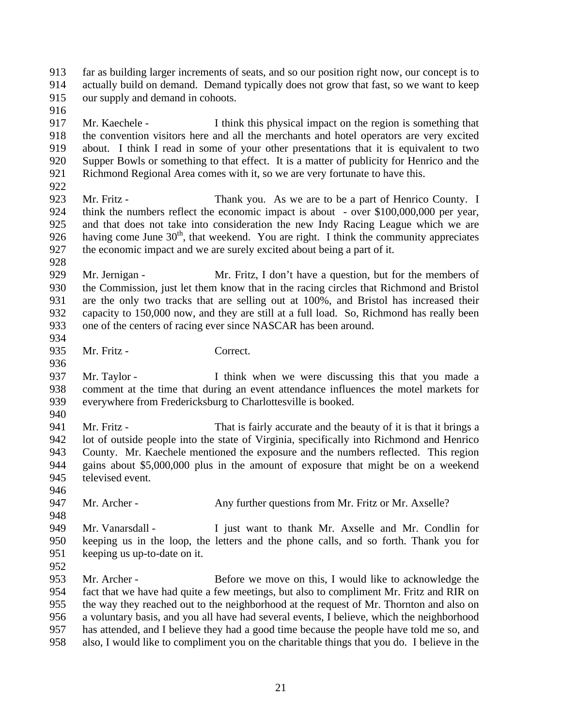far as building larger increments of seats, and so our position right now, our concept is to actually build on demand. Demand typically does not grow that fast, so we want to keep our supply and demand in cohoots. Mr. Kaechele - I think this physical impact on the region is something that the convention visitors here and all the merchants and hotel operators are very excited about. I think I read in some of your other presentations that it is equivalent to two Supper Bowls or something to that effect. It is a matter of publicity for Henrico and the Richmond Regional Area comes with it, so we are very fortunate to have this. 923 Mr. Fritz - Thank you. As we are to be a part of Henrico County. I think the numbers reflect the economic impact is about - over \$100,000,000 per year, and that does not take into consideration the new Indy Racing League which we are 926 having come June  $30<sup>th</sup>$ , that weekend. You are right. I think the community appreciates the economic impact and we are surely excited about being a part of it. Mr. Jernigan - Mr. Fritz, I don't have a question, but for the members of the Commission, just let them know that in the racing circles that Richmond and Bristol are the only two tracks that are selling out at 100%, and Bristol has increased their 932 capacity to 150,000 now, and they are still at a full load. So, Richmond has really been<br>933 one of the centers of racing ever since NASCAR has been around. one of the centers of racing ever since NASCAR has been around. Mr. Fritz - Correct. Mr. Taylor - I think when we were discussing this that you made a comment at the time that during an event attendance influences the motel markets for everywhere from Fredericksburg to Charlottesville is booked. Mr. Fritz - That is fairly accurate and the beauty of it is that it brings a lot of outside people into the state of Virginia, specifically into Richmond and Henrico County. Mr. Kaechele mentioned the exposure and the numbers reflected. This region gains about \$5,000,000 plus in the amount of exposure that might be on a weekend televised event. 947 Mr. Archer - Any further questions from Mr. Fritz or Mr. Axselle? 949 Mr. Vanarsdall - I just want to thank Mr. Axselle and Mr. Condlin for keeping us in the loop, the letters and the phone calls, and so forth. Thank you for keeping us up-to-date on it. Mr. Archer - Before we move on this, I would like to acknowledge the fact that we have had quite a few meetings, but also to compliment Mr. Fritz and RIR on the way they reached out to the neighborhood at the request of Mr. Thornton and also on a voluntary basis, and you all have had several events, I believe, which the neighborhood has attended, and I believe they had a good time because the people have told me so, and also, I would like to compliment you on the charitable things that you do. I believe in the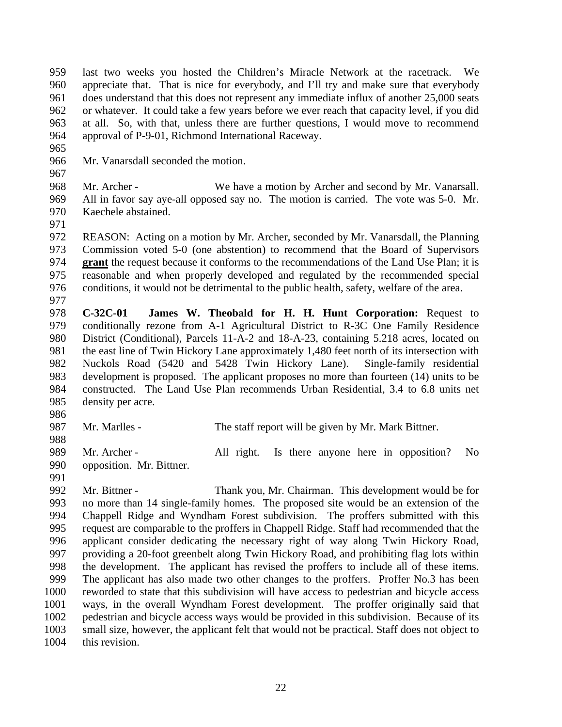last two weeks you hosted the Children's Miracle Network at the racetrack. We appreciate that. That is nice for everybody, and I'll try and make sure that everybody does understand that this does not represent any immediate influx of another 25,000 seats or whatever. It could take a few years before we ever reach that capacity level, if you did at all. So, with that, unless there are further questions, I would move to recommend approval of P-9-01, Richmond International Raceway.

Mr. Vanarsdall seconded the motion.

 Mr. Archer - We have a motion by Archer and second by Mr. Vanarsall. All in favor say aye-all opposed say no. The motion is carried. The vote was 5-0. Mr. Kaechele abstained.

 REASON: Acting on a motion by Mr. Archer, seconded by Mr. Vanarsdall, the Planning Commission voted 5-0 (one abstention) to recommend that the Board of Supervisors **grant** the request because it conforms to the recommendations of the Land Use Plan; it is reasonable and when properly developed and regulated by the recommended special conditions, it would not be detrimental to the public health, safety, welfare of the area. 

 **C-32C-01 James W. Theobald for H. H. Hunt Corporation:** Request to conditionally rezone from A-1 Agricultural District to R-3C One Family Residence District (Conditional), Parcels 11-A-2 and 18-A-23, containing 5.218 acres, located on 981 the east line of Twin Hickory Lane approximately 1,480 feet north of its intersection with Nuckols Road (5420 and 5428 Twin Hickory Lane). Single-family residential development is proposed. The applicant proposes no more than fourteen (14) units to be constructed. The Land Use Plan recommends Urban Residential, 3.4 to 6.8 units net density per acre.

987 Mr. Marlles - The staff report will be given by Mr. Mark Bittner.

989 Mr. Archer - All right. Is there anyone here in opposition? No opposition. Mr. Bittner.

 Mr. Bittner - Thank you, Mr. Chairman. This development would be for 993 no more than 14 single-family homes. The proposed site would be an extension of the 994 Chappell Ridge and Wyndham Forest subdivision. The proffers submitted with this Chappell Ridge and Wyndham Forest subdivision. The proffers submitted with this request are comparable to the proffers in Chappell Ridge. Staff had recommended that the applicant consider dedicating the necessary right of way along Twin Hickory Road, providing a 20-foot greenbelt along Twin Hickory Road, and prohibiting flag lots within the development. The applicant has revised the proffers to include all of these items. The applicant has also made two other changes to the proffers. Proffer No.3 has been reworded to state that this subdivision will have access to pedestrian and bicycle access ways, in the overall Wyndham Forest development. The proffer originally said that pedestrian and bicycle access ways would be provided in this subdivision. Because of its small size, however, the applicant felt that would not be practical. Staff does not object to this revision.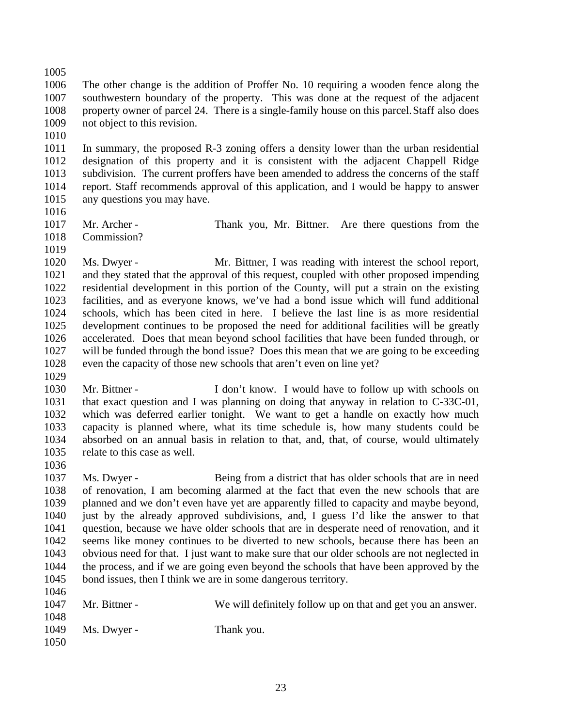The other change is the addition of Proffer No. 10 requiring a wooden fence along the southwestern boundary of the property. This was done at the request of the adjacent property owner of parcel 24. There is a single-family house on this parcel.Staff also does not object to this revision.

 In summary, the proposed R-3 zoning offers a density lower than the urban residential designation of this property and it is consistent with the adjacent Chappell Ridge subdivision. The current proffers have been amended to address the concerns of the staff report. Staff recommends approval of this application, and I would be happy to answer any questions you may have.

 Mr. Archer - Thank you, Mr. Bittner. Are there questions from the Commission?

 Ms. Dwyer - Mr. Bittner, I was reading with interest the school report, and they stated that the approval of this request, coupled with other proposed impending residential development in this portion of the County, will put a strain on the existing facilities, and as everyone knows, we've had a bond issue which will fund additional schools, which has been cited in here. I believe the last line is as more residential development continues to be proposed the need for additional facilities will be greatly accelerated. Does that mean beyond school facilities that have been funded through, or will be funded through the bond issue? Does this mean that we are going to be exceeding even the capacity of those new schools that aren't even on line yet?

1030 Mr. Bittner - I don't know. I would have to follow up with schools on that exact question and I was planning on doing that anyway in relation to C-33C-01, which was deferred earlier tonight. We want to get a handle on exactly how much capacity is planned where, what its time schedule is, how many students could be absorbed on an annual basis in relation to that, and, that, of course, would ultimately relate to this case as well.

 Ms. Dwyer - Being from a district that has older schools that are in need of renovation, I am becoming alarmed at the fact that even the new schools that are planned and we don't even have yet are apparently filled to capacity and maybe beyond, just by the already approved subdivisions, and, I guess I'd like the answer to that question, because we have older schools that are in desperate need of renovation, and it seems like money continues to be diverted to new schools, because there has been an obvious need for that. I just want to make sure that our older schools are not neglected in the process, and if we are going even beyond the schools that have been approved by the bond issues, then I think we are in some dangerous territory. 

| 1047 | Mr. Bittner - | We will definitely follow up on that and get you an answer. |
|------|---------------|-------------------------------------------------------------|
| 1048 |               |                                                             |
| 1049 | Ms. Dwyer -   | Thank you.                                                  |
| 1050 |               |                                                             |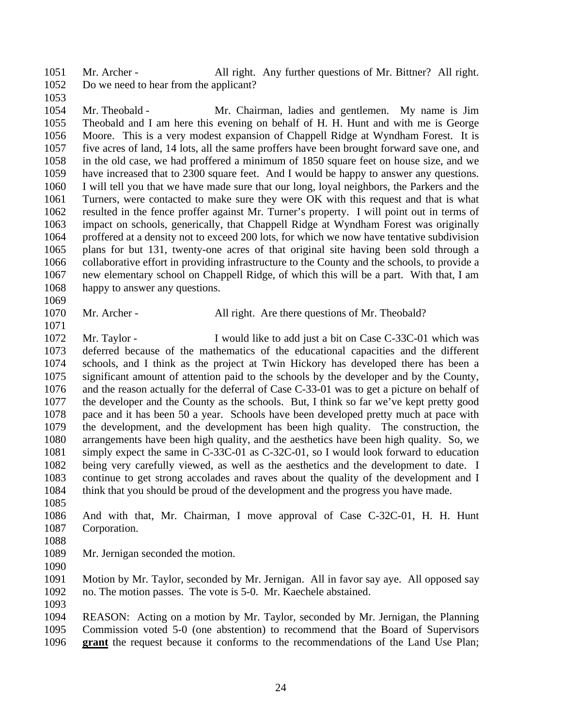Mr. Archer - All right. Any further questions of Mr. Bittner? All right. Do we need to hear from the applicant?

 Mr. Theobald - Mr. Chairman, ladies and gentlemen. My name is Jim Theobald and I am here this evening on behalf of H. H. Hunt and with me is George Moore. This is a very modest expansion of Chappell Ridge at Wyndham Forest. It is five acres of land, 14 lots, all the same proffers have been brought forward save one, and in the old case, we had proffered a minimum of 1850 square feet on house size, and we have increased that to 2300 square feet. And I would be happy to answer any questions. I will tell you that we have made sure that our long, loyal neighbors, the Parkers and the Turners, were contacted to make sure they were OK with this request and that is what resulted in the fence proffer against Mr. Turner's property. I will point out in terms of impact on schools, generically, that Chappell Ridge at Wyndham Forest was originally proffered at a density not to exceed 200 lots, for which we now have tentative subdivision plans for but 131, twenty-one acres of that original site having been sold through a collaborative effort in providing infrastructure to the County and the schools, to provide a new elementary school on Chappell Ridge, of which this will be a part. With that, I am happy to answer any questions.

Mr. Archer - All right. Are there questions of Mr. Theobald?

1072 Mr. Taylor - I would like to add just a bit on Case C-33C-01 which was deferred because of the mathematics of the educational capacities and the different schools, and I think as the project at Twin Hickory has developed there has been a significant amount of attention paid to the schools by the developer and by the County, and the reason actually for the deferral of Case C-33-01 was to get a picture on behalf of the developer and the County as the schools. But, I think so far we've kept pretty good pace and it has been 50 a year. Schools have been developed pretty much at pace with the development, and the development has been high quality. The construction, the arrangements have been high quality, and the aesthetics have been high quality. So, we simply expect the same in C-33C-01 as C-32C-01, so I would look forward to education being very carefully viewed, as well as the aesthetics and the development to date. I continue to get strong accolades and raves about the quality of the development and I think that you should be proud of the development and the progress you have made.

 And with that, Mr. Chairman, I move approval of Case C-32C-01, H. H. Hunt Corporation.

Mr. Jernigan seconded the motion.

 Motion by Mr. Taylor, seconded by Mr. Jernigan. All in favor say aye. All opposed say no. The motion passes. The vote is 5-0. Mr. Kaechele abstained.

 REASON: Acting on a motion by Mr. Taylor, seconded by Mr. Jernigan, the Planning Commission voted 5-0 (one abstention) to recommend that the Board of Supervisors **grant** the request because it conforms to the recommendations of the Land Use Plan;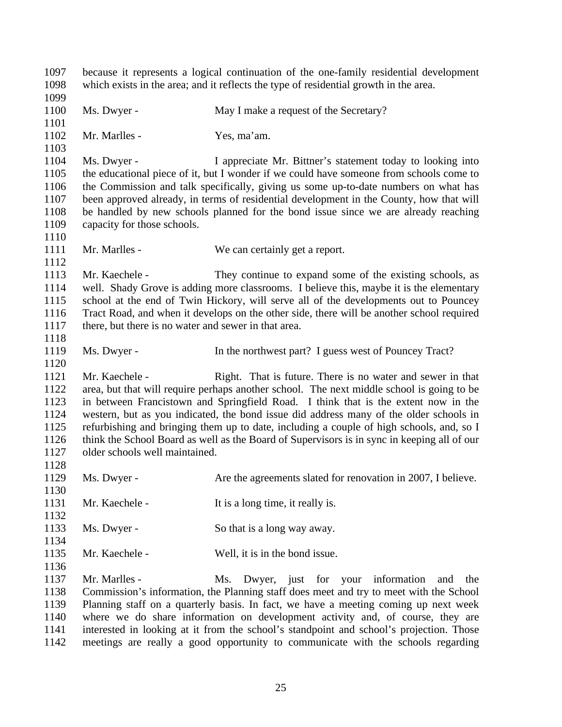because it represents a logical continuation of the one-family residential development which exists in the area; and it reflects the type of residential growth in the area. 1100 Ms. Dwyer - May I make a request of the Secretary? Mr. Marlles - Yes, ma'am. Ms. Dwyer - I appreciate Mr. Bittner's statement today to looking into the educational piece of it, but I wonder if we could have someone from schools come to the Commission and talk specifically, giving us some up-to-date numbers on what has been approved already, in terms of residential development in the County, how that will be handled by new schools planned for the bond issue since we are already reaching 1109 capacity for those schools. 1111 Mr. Marlles - We can certainly get a report. 1113 Mr. Kaechele - They continue to expand some of the existing schools, as well. Shady Grove is adding more classrooms. I believe this, maybe it is the elementary school at the end of Twin Hickory, will serve all of the developments out to Pouncey Tract Road, and when it develops on the other side, there will be another school required 1117 there, but there is no water and sewer in that area. Ms. Dwyer - In the northwest part? I guess west of Pouncey Tract? Mr. Kaechele - Right. That is future. There is no water and sewer in that area, but that will require perhaps another school. The next middle school is going to be in between Francistown and Springfield Road. I think that is the extent now in the western, but as you indicated, the bond issue did address many of the older schools in refurbishing and bringing them up to date, including a couple of high schools, and, so I think the School Board as well as the Board of Supervisors is in sync in keeping all of our older schools well maintained. 1129 Ms. Dwyer - Are the agreements slated for renovation in 2007, I believe. 1131 Mr. Kaechele - It is a long time, it really is. Ms. Dwyer - So that is a long way away. 1135 Mr. Kaechele - Well, it is in the bond issue. Mr. Marlles - Ms. Dwyer, just for your information and the Commission's information, the Planning staff does meet and try to meet with the School Planning staff on a quarterly basis. In fact, we have a meeting coming up next week where we do share information on development activity and, of course, they are interested in looking at it from the school's standpoint and school's projection. Those meetings are really a good opportunity to communicate with the schools regarding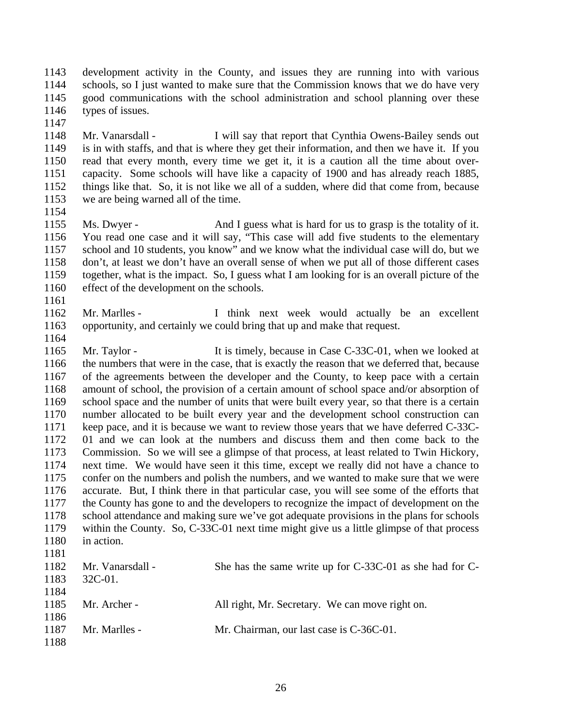development activity in the County, and issues they are running into with various schools, so I just wanted to make sure that the Commission knows that we do have very good communications with the school administration and school planning over these types of issues.

1148 Mr. Vanarsdall - I will say that report that Cynthia Owens-Bailey sends out is in with staffs, and that is where they get their information, and then we have it. If you read that every month, every time we get it, it is a caution all the time about over- capacity. Some schools will have like a capacity of 1900 and has already reach 1885, things like that. So, it is not like we all of a sudden, where did that come from, because we are being warned all of the time.

 Ms. Dwyer - And I guess what is hard for us to grasp is the totality of it. You read one case and it will say, "This case will add five students to the elementary school and 10 students, you know" and we know what the individual case will do, but we don't, at least we don't have an overall sense of when we put all of those different cases together, what is the impact. So, I guess what I am looking for is an overall picture of the effect of the development on the schools.

 Mr. Marlles - I think next week would actually be an excellent opportunity, and certainly we could bring that up and make that request.

1165 Mr. Taylor - It is timely, because in Case C-33C-01, when we looked at the numbers that were in the case, that is exactly the reason that we deferred that, because of the agreements between the developer and the County, to keep pace with a certain amount of school, the provision of a certain amount of school space and/or absorption of school space and the number of units that were built every year, so that there is a certain number allocated to be built every year and the development school construction can keep pace, and it is because we want to review those years that we have deferred C-33C- 01 and we can look at the numbers and discuss them and then come back to the Commission. So we will see a glimpse of that process, at least related to Twin Hickory, next time. We would have seen it this time, except we really did not have a chance to confer on the numbers and polish the numbers, and we wanted to make sure that we were accurate. But, I think there in that particular case, you will see some of the efforts that the County has gone to and the developers to recognize the impact of development on the school attendance and making sure we've got adequate provisions in the plans for schools within the County. So, C-33C-01 next time might give us a little glimpse of that process 1180 in action. 

| 1182 | Mr. Vanarsdall - | She has the same write up for C-33C-01 as she had for C- |
|------|------------------|----------------------------------------------------------|
| 1183 | $32C-01$ .       |                                                          |
| 1184 |                  |                                                          |
| 1185 | Mr. Archer -     | All right, Mr. Secretary. We can move right on.          |
| 1186 |                  |                                                          |
| 1187 | Mr. Marlles -    | Mr. Chairman, our last case is C-36C-01.                 |
| 1188 |                  |                                                          |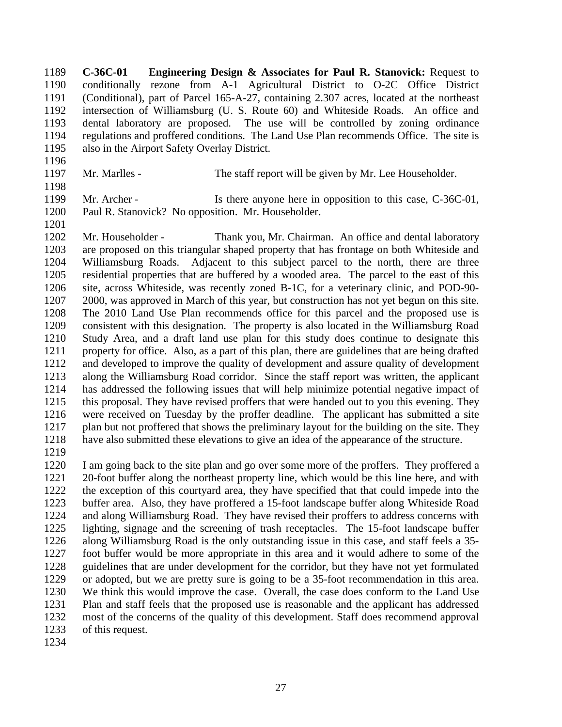**C-36C-01 Engineering Design & Associates for Paul R. Stanovick:** Request to conditionally rezone from A-1 Agricultural District to O-2C Office District (Conditional), part of Parcel 165-A-27, containing 2.307 acres, located at the northeast intersection of Williamsburg (U. S. Route 60) and Whiteside Roads. An office and dental laboratory are proposed. The use will be controlled by zoning ordinance regulations and proffered conditions. The Land Use Plan recommends Office. The site is also in the Airport Safety Overlay District.

- 1197 Mr. Marlles The staff report will be given by Mr. Lee Householder.
- 

- 1199 Mr. Archer Is there anyone here in opposition to this case, C-36C-01,
- 

 Paul R. Stanovick? No opposition. Mr. Householder. Mr. Householder - Thank you, Mr. Chairman. An office and dental laboratory

 are proposed on this triangular shaped property that has frontage on both Whiteside and Williamsburg Roads. Adjacent to this subject parcel to the north, there are three residential properties that are buffered by a wooded area. The parcel to the east of this site, across Whiteside, was recently zoned B-1C, for a veterinary clinic, and POD-90- 2000, was approved in March of this year, but construction has not yet begun on this site. The 2010 Land Use Plan recommends office for this parcel and the proposed use is consistent with this designation. The property is also located in the Williamsburg Road Study Area, and a draft land use plan for this study does continue to designate this property for office. Also, as a part of this plan, there are guidelines that are being drafted and developed to improve the quality of development and assure quality of development along the Williamsburg Road corridor. Since the staff report was written, the applicant has addressed the following issues that will help minimize potential negative impact of this proposal. They have revised proffers that were handed out to you this evening. They were received on Tuesday by the proffer deadline. The applicant has submitted a site 1217 plan but not proffered that shows the preliminary layout for the building on the site. They have also submitted these elevations to give an idea of the appearance of the structure.

 I am going back to the site plan and go over some more of the proffers. They proffered a 20-foot buffer along the northeast property line, which would be this line here, and with the exception of this courtyard area, they have specified that that could impede into the buffer area. Also, they have proffered a 15-foot landscape buffer along Whiteside Road and along Williamsburg Road. They have revised their proffers to address concerns with lighting, signage and the screening of trash receptacles. The 15-foot landscape buffer along Williamsburg Road is the only outstanding issue in this case, and staff feels a 35- foot buffer would be more appropriate in this area and it would adhere to some of the guidelines that are under development for the corridor, but they have not yet formulated or adopted, but we are pretty sure is going to be a 35-foot recommendation in this area. We think this would improve the case. Overall, the case does conform to the Land Use Plan and staff feels that the proposed use is reasonable and the applicant has addressed most of the concerns of the quality of this development. Staff does recommend approval of this request.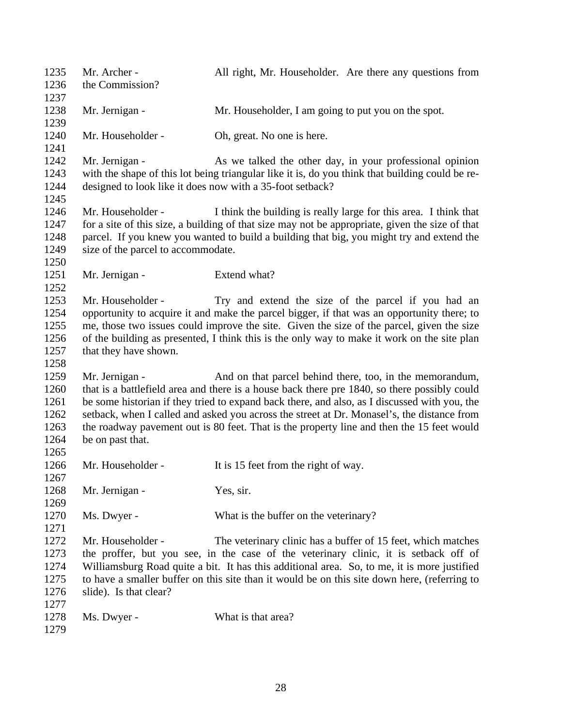| 1235<br>1236                                         | Mr. Archer -<br>the Commission?                                             | All right, Mr. Householder. Are there any questions from                                                                                                                                                                                                                                                                                                                                                                                            |
|------------------------------------------------------|-----------------------------------------------------------------------------|-----------------------------------------------------------------------------------------------------------------------------------------------------------------------------------------------------------------------------------------------------------------------------------------------------------------------------------------------------------------------------------------------------------------------------------------------------|
| 1237<br>1238<br>1239                                 | Mr. Jernigan -                                                              | Mr. Householder, I am going to put you on the spot.                                                                                                                                                                                                                                                                                                                                                                                                 |
| 1240<br>1241                                         | Mr. Householder -                                                           | Oh, great. No one is here.                                                                                                                                                                                                                                                                                                                                                                                                                          |
| 1242<br>1243<br>1244<br>1245                         | Mr. Jernigan -<br>designed to look like it does now with a 35-foot setback? | As we talked the other day, in your professional opinion<br>with the shape of this lot being triangular like it is, do you think that building could be re-                                                                                                                                                                                                                                                                                         |
| 1246<br>1247<br>1248<br>1249<br>1250                 | Mr. Householder -<br>size of the parcel to accommodate.                     | I think the building is really large for this area. I think that<br>for a site of this size, a building of that size may not be appropriate, given the size of that<br>parcel. If you knew you wanted to build a building that big, you might try and extend the                                                                                                                                                                                    |
| 1251<br>1252                                         | Mr. Jernigan -                                                              | Extend what?                                                                                                                                                                                                                                                                                                                                                                                                                                        |
| 1253<br>1254<br>1255<br>1256<br>1257<br>1258         | Mr. Householder -<br>that they have shown.                                  | Try and extend the size of the parcel if you had an<br>opportunity to acquire it and make the parcel bigger, if that was an opportunity there; to<br>me, those two issues could improve the site. Given the size of the parcel, given the size<br>of the building as presented, I think this is the only way to make it work on the site plan                                                                                                       |
| 1259<br>1260<br>1261<br>1262<br>1263<br>1264<br>1265 | Mr. Jernigan -<br>be on past that.                                          | And on that parcel behind there, too, in the memorandum,<br>that is a battlefield area and there is a house back there pre 1840, so there possibly could<br>be some historian if they tried to expand back there, and also, as I discussed with you, the<br>setback, when I called and asked you across the street at Dr. Monasel's, the distance from<br>the roadway pavement out is 80 feet. That is the property line and then the 15 feet would |
| 1266<br>1267                                         | Mr. Householder -                                                           | It is 15 feet from the right of way.                                                                                                                                                                                                                                                                                                                                                                                                                |
| 1268<br>1269                                         | Mr. Jernigan -                                                              | Yes, sir.                                                                                                                                                                                                                                                                                                                                                                                                                                           |
| 1270<br>1271                                         | Ms. Dwyer -                                                                 | What is the buffer on the veterinary?                                                                                                                                                                                                                                                                                                                                                                                                               |
| 1272<br>1273<br>1274<br>1275<br>1276<br>1277         | Mr. Householder -<br>slide). Is that clear?                                 | The veterinary clinic has a buffer of 15 feet, which matches<br>the proffer, but you see, in the case of the veterinary clinic, it is setback off of<br>Williamsburg Road quite a bit. It has this additional area. So, to me, it is more justified<br>to have a smaller buffer on this site than it would be on this site down here, (referring to                                                                                                 |
| 1278<br>1279                                         | Ms. Dwyer -                                                                 | What is that area?                                                                                                                                                                                                                                                                                                                                                                                                                                  |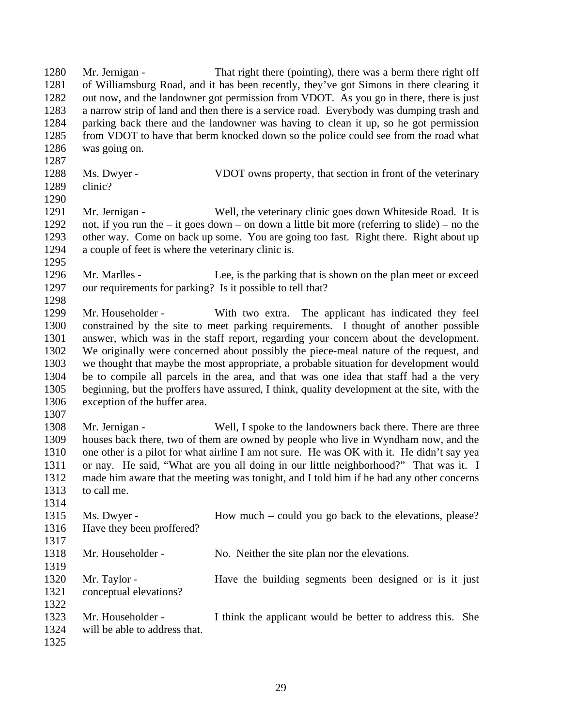Mr. Jernigan - That right there (pointing), there was a berm there right off of Williamsburg Road, and it has been recently, they've got Simons in there clearing it out now, and the landowner got permission from VDOT. As you go in there, there is just a narrow strip of land and then there is a service road. Everybody was dumping trash and parking back there and the landowner was having to clean it up, so he got permission from VDOT to have that berm knocked down so the police could see from the road what was going on. 

- 1288 Ms. Dwyer VDOT owns property, that section in front of the veterinary clinic?
- 

1291 Mr. Jernigan - Well, the veterinary clinic goes down Whiteside Road. It is not, if you run the – it goes down – on down a little bit more (referring to slide) – no the other way. Come on back up some. You are going too fast. Right there. Right about up a couple of feet is where the veterinary clinic is. 

1296 Mr. Marlles - Lee, is the parking that is shown on the plan meet or exceed our requirements for parking? Is it possible to tell that? 

 Mr. Householder - With two extra. The applicant has indicated they feel constrained by the site to meet parking requirements. I thought of another possible answer, which was in the staff report, regarding your concern about the development. We originally were concerned about possibly the piece-meal nature of the request, and we thought that maybe the most appropriate, a probable situation for development would be to compile all parcels in the area, and that was one idea that staff had a the very beginning, but the proffers have assured, I think, quality development at the site, with the exception of the buffer area.

 Mr. Jernigan - Well, I spoke to the landowners back there. There are three houses back there, two of them are owned by people who live in Wyndham now, and the one other is a pilot for what airline I am not sure. He was OK with it. He didn't say yea or nay. He said, "What are you all doing in our little neighborhood?" That was it. I made him aware that the meeting was tonight, and I told him if he had any other concerns to call me.

| 1314 |                               |                                                            |
|------|-------------------------------|------------------------------------------------------------|
| 1315 | Ms. Dwyer -                   | How much – could you go back to the elevations, please?    |
| 1316 | Have they been proffered?     |                                                            |
| 1317 |                               |                                                            |
| 1318 | Mr. Householder -             | No. Neither the site plan nor the elevations.              |
| 1319 |                               |                                                            |
| 1320 | Mr. Taylor -                  | Have the building segments been designed or is it just     |
| 1321 | conceptual elevations?        |                                                            |
| 1322 |                               |                                                            |
| 1323 | Mr. Householder -             | I think the applicant would be better to address this. She |
| 1324 | will be able to address that. |                                                            |
| 1325 |                               |                                                            |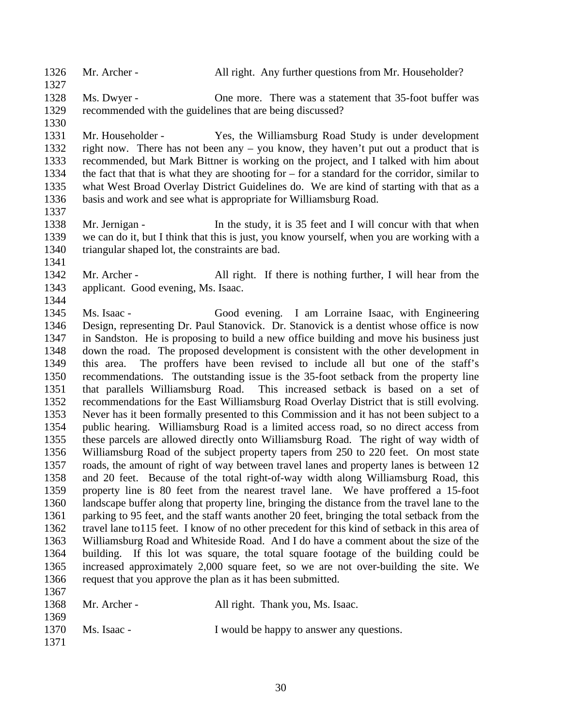| 1326         | Mr. Archer -                                    | All right. Any further questions from Mr. Householder?                                           |
|--------------|-------------------------------------------------|--------------------------------------------------------------------------------------------------|
| 1327         |                                                 |                                                                                                  |
| 1328         | Ms. Dwyer -                                     | One more. There was a statement that 35-foot buffer was                                          |
| 1329         |                                                 | recommended with the guidelines that are being discussed?                                        |
| 1330         |                                                 |                                                                                                  |
| 1331         | Mr. Householder -                               | Yes, the Williamsburg Road Study is under development                                            |
| 1332         |                                                 | right now. There has not been any $-$ you know, they haven't put out a product that is           |
| 1333         |                                                 | recommended, but Mark Bittner is working on the project, and I talked with him about             |
| 1334         |                                                 | the fact that that is what they are shooting for $-$ for a standard for the corridor, similar to |
| 1335         |                                                 | what West Broad Overlay District Guidelines do. We are kind of starting with that as a           |
| 1336<br>1337 |                                                 | basis and work and see what is appropriate for Williamsburg Road.                                |
| 1338         |                                                 | In the study, it is 35 feet and I will concur with that when                                     |
| 1339         | Mr. Jernigan -                                  | we can do it, but I think that this is just, you know yourself, when you are working with a      |
| 1340         | triangular shaped lot, the constraints are bad. |                                                                                                  |
| 1341         |                                                 |                                                                                                  |
| 1342         | Mr. Archer -                                    | All right. If there is nothing further, I will hear from the                                     |
| 1343         | applicant. Good evening, Ms. Isaac.             |                                                                                                  |
| 1344         |                                                 |                                                                                                  |
| 1345         | Ms. Isaac -                                     | Good evening. I am Lorraine Isaac, with Engineering                                              |
| 1346         |                                                 | Design, representing Dr. Paul Stanovick. Dr. Stanovick is a dentist whose office is now          |
| 1347         |                                                 | in Sandston. He is proposing to build a new office building and move his business just           |
| 1348         |                                                 | down the road. The proposed development is consistent with the other development in              |
| 1349         |                                                 | this area. The proffers have been revised to include all but one of the staff's                  |
| 1350         |                                                 | recommendations. The outstanding issue is the 35-foot setback from the property line             |
| 1351         |                                                 | that parallels Williamsburg Road. This increased setback is based on a set of                    |
| 1352         |                                                 | recommendations for the East Williamsburg Road Overlay District that is still evolving.          |
| 1353         |                                                 | Never has it been formally presented to this Commission and it has not been subject to a         |
| 1354         |                                                 | public hearing. Williamsburg Road is a limited access road, so no direct access from             |
| 1355         |                                                 | these parcels are allowed directly onto Williamsburg Road. The right of way width of             |
| 1356         |                                                 | Williamsburg Road of the subject property tapers from 250 to 220 feet. On most state             |
| 1357         |                                                 | roads, the amount of right of way between travel lanes and property lanes is between 12          |
| 1358         |                                                 | and 20 feet. Because of the total right-of-way width along Williamsburg Road, this               |
| 1359         |                                                 | property line is 80 feet from the nearest travel lane. We have proffered a 15-foot               |
| 1360         |                                                 | landscape buffer along that property line, bringing the distance from the travel lane to the     |
| 1361         |                                                 | parking to 95 feet, and the staff wants another 20 feet, bringing the total setback from the     |
| 1362         |                                                 | travel lane to 115 feet. I know of no other precedent for this kind of setback in this area of   |
| 1363         |                                                 | Williamsburg Road and Whiteside Road. And I do have a comment about the size of the              |
| 1364         |                                                 | building. If this lot was square, the total square footage of the building could be              |
| 1365         |                                                 | increased approximately 2,000 square feet, so we are not over-building the site. We              |
| 1366         |                                                 | request that you approve the plan as it has been submitted.                                      |
| 1367         |                                                 |                                                                                                  |
| 1368         | Mr. Archer -                                    | All right. Thank you, Ms. Isaac.                                                                 |
| 1369         |                                                 |                                                                                                  |
| 1370         | Ms. Isaac -                                     | I would be happy to answer any questions.                                                        |
| 1371         |                                                 |                                                                                                  |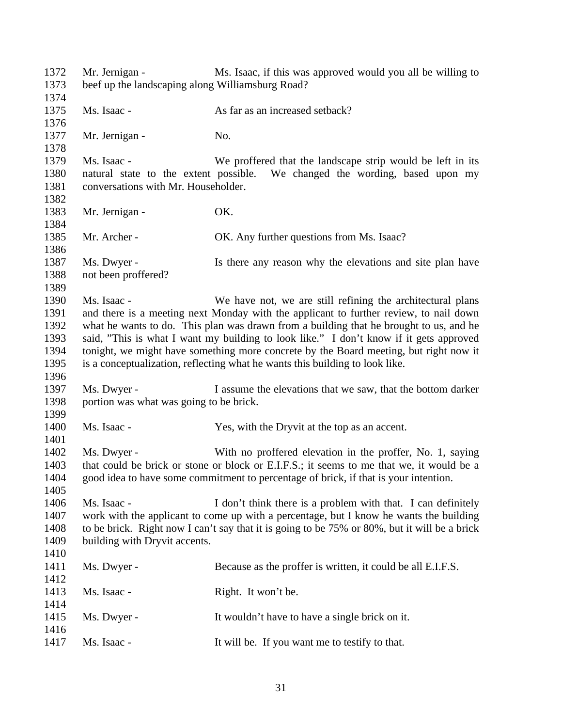Mr. Jernigan - Ms. Isaac, if this was approved would you all be willing to beef up the landscaping along Williamsburg Road? 1375 Ms. Isaac - As far as an increased setback? 1377 Mr. Jernigan - No. Ms. Isaac - We proffered that the landscape strip would be left in its natural state to the extent possible. We changed the wording, based upon my conversations with Mr. Householder. 1383 Mr. Jernigan - OK. 1385 Mr. Archer - OK. Any further questions from Ms. Isaac? 1387 Ms. Dwyer - Is there any reason why the elevations and site plan have not been proffered? Ms. Isaac - We have not, we are still refining the architectural plans and there is a meeting next Monday with the applicant to further review, to nail down what he wants to do. This plan was drawn from a building that he brought to us, and he said, "This is what I want my building to look like." I don't know if it gets approved tonight, we might have something more concrete by the Board meeting, but right now it is a conceptualization, reflecting what he wants this building to look like. Ms. Dwyer - I assume the elevations that we saw, that the bottom darker portion was what was going to be brick. Ms. Isaac - Yes, with the Dryvit at the top as an accent. Ms. Dwyer - With no proffered elevation in the proffer, No. 1, saying that could be brick or stone or block or E.I.F.S.; it seems to me that we, it would be a good idea to have some commitment to percentage of brick, if that is your intention. Ms. Isaac - I don't think there is a problem with that. I can definitely work with the applicant to come up with a percentage, but I know he wants the building to be brick. Right now I can't say that it is going to be 75% or 80%, but it will be a brick building with Dryvit accents. Ms. Dwyer - Because as the proffer is written, it could be all E.I.F.S. 1413 Ms. Isaac - Right. It won't be. Ms. Dwyer - It wouldn't have to have a single brick on it. 1417 Ms. Isaac - It will be. If you want me to testify to that.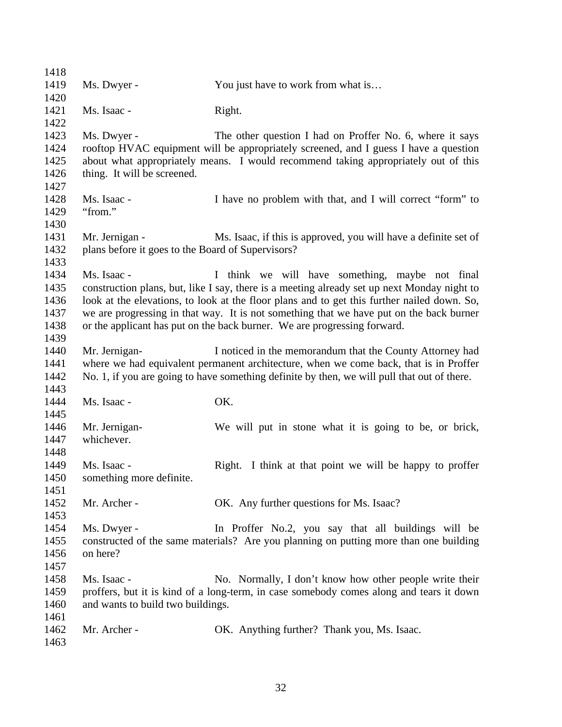| 1418 |                                                   |                                                                                             |
|------|---------------------------------------------------|---------------------------------------------------------------------------------------------|
| 1419 | Ms. Dwyer -                                       | You just have to work from what is                                                          |
| 1420 |                                                   |                                                                                             |
| 1421 | Ms. Isaac -                                       | Right.                                                                                      |
| 1422 |                                                   |                                                                                             |
| 1423 | Ms. Dwyer -                                       | The other question I had on Proffer No. 6, where it says                                    |
| 1424 |                                                   | rooftop HVAC equipment will be appropriately screened, and I guess I have a question        |
| 1425 |                                                   | about what appropriately means. I would recommend taking appropriately out of this          |
| 1426 | thing. It will be screened.                       |                                                                                             |
| 1427 |                                                   |                                                                                             |
| 1428 | Ms. Isaac -                                       | I have no problem with that, and I will correct "form" to                                   |
| 1429 | "from."                                           |                                                                                             |
| 1430 |                                                   |                                                                                             |
| 1431 | Mr. Jernigan -                                    | Ms. Isaac, if this is approved, you will have a definite set of                             |
| 1432 | plans before it goes to the Board of Supervisors? |                                                                                             |
| 1433 |                                                   |                                                                                             |
| 1434 | Ms. Isaac -                                       | I think we will have something, maybe not final                                             |
| 1435 |                                                   | construction plans, but, like I say, there is a meeting already set up next Monday night to |
| 1436 |                                                   | look at the elevations, to look at the floor plans and to get this further nailed down. So, |
| 1437 |                                                   | we are progressing in that way. It is not something that we have put on the back burner     |
| 1438 |                                                   | or the applicant has put on the back burner. We are progressing forward.                    |
| 1439 |                                                   |                                                                                             |
| 1440 | Mr. Jernigan-                                     | I noticed in the memorandum that the County Attorney had                                    |
| 1441 |                                                   | where we had equivalent permanent architecture, when we come back, that is in Proffer       |
| 1442 |                                                   | No. 1, if you are going to have something definite by then, we will pull that out of there. |
| 1443 |                                                   |                                                                                             |
| 1444 | Ms. Isaac -                                       | OK.                                                                                         |
| 1445 |                                                   |                                                                                             |
| 1446 | Mr. Jernigan-                                     | We will put in stone what it is going to be, or brick,                                      |
| 1447 | whichever.                                        |                                                                                             |
| 1448 |                                                   |                                                                                             |
| 1449 | Ms. Isaac -                                       | Right. I think at that point we will be happy to proffer                                    |
| 1450 | something more definite.                          |                                                                                             |
| 1451 |                                                   |                                                                                             |
| 1452 | Mr. Archer -                                      | OK. Any further questions for Ms. Isaac?                                                    |
| 1453 |                                                   |                                                                                             |
| 1454 | Ms. Dwyer -                                       | In Proffer No.2, you say that all buildings will be                                         |
| 1455 |                                                   | constructed of the same materials? Are you planning on putting more than one building       |
| 1456 | on here?                                          |                                                                                             |
| 1457 |                                                   |                                                                                             |
| 1458 | Ms. Isaac -                                       | No. Normally, I don't know how other people write their                                     |
| 1459 |                                                   | proffers, but it is kind of a long-term, in case somebody comes along and tears it down     |
| 1460 | and wants to build two buildings.                 |                                                                                             |
| 1461 |                                                   |                                                                                             |
| 1462 | Mr. Archer -                                      | OK. Anything further? Thank you, Ms. Isaac.                                                 |
| 1463 |                                                   |                                                                                             |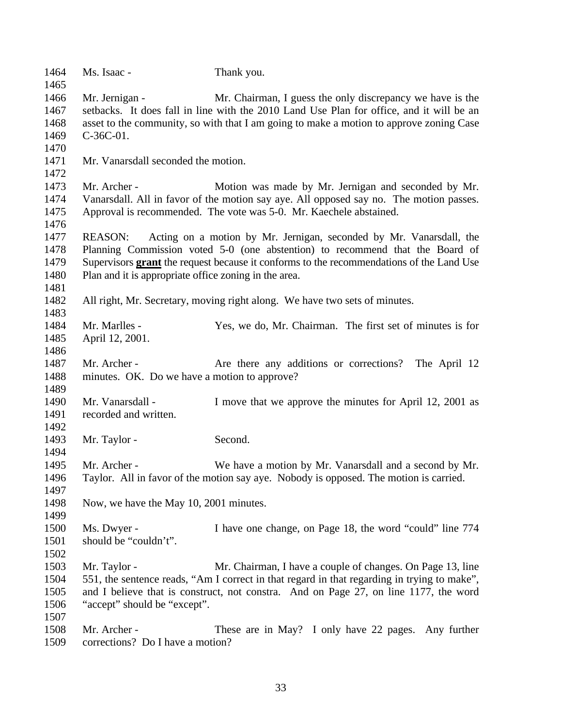| 1464<br>1465 | Ms. Isaac -                                                                                                                                                                         | Thank you.                                                                                                                                                   |
|--------------|-------------------------------------------------------------------------------------------------------------------------------------------------------------------------------------|--------------------------------------------------------------------------------------------------------------------------------------------------------------|
| 1466<br>1467 | Mr. Jernigan -                                                                                                                                                                      | Mr. Chairman, I guess the only discrepancy we have is the<br>setbacks. It does fall in line with the 2010 Land Use Plan for office, and it will be an        |
|              |                                                                                                                                                                                     |                                                                                                                                                              |
| 1468<br>1469 | C-36C-01.                                                                                                                                                                           | asset to the community, so with that I am going to make a motion to approve zoning Case                                                                      |
| 1470         |                                                                                                                                                                                     |                                                                                                                                                              |
| 1471         | Mr. Vanarsdall seconded the motion.                                                                                                                                                 |                                                                                                                                                              |
| 1472         |                                                                                                                                                                                     |                                                                                                                                                              |
| 1473         | Mr. Archer -                                                                                                                                                                        | Motion was made by Mr. Jernigan and seconded by Mr.                                                                                                          |
| 1474<br>1475 |                                                                                                                                                                                     | Vanarsdall. All in favor of the motion say aye. All opposed say no. The motion passes.<br>Approval is recommended. The vote was 5-0. Mr. Kaechele abstained. |
| 1476         |                                                                                                                                                                                     |                                                                                                                                                              |
| 1477<br>1478 | REASON:                                                                                                                                                                             | Acting on a motion by Mr. Jernigan, seconded by Mr. Vanarsdall, the<br>Planning Commission voted 5-0 (one abstention) to recommend that the Board of         |
| 1479         |                                                                                                                                                                                     | Supervisors grant the request because it conforms to the recommendations of the Land Use                                                                     |
|              |                                                                                                                                                                                     |                                                                                                                                                              |
| 1480         | Plan and it is appropriate office zoning in the area.                                                                                                                               |                                                                                                                                                              |
| 1481         |                                                                                                                                                                                     |                                                                                                                                                              |
| 1482         |                                                                                                                                                                                     | All right, Mr. Secretary, moving right along. We have two sets of minutes.                                                                                   |
| 1483         |                                                                                                                                                                                     |                                                                                                                                                              |
| 1484         | Mr. Marlles -                                                                                                                                                                       | Yes, we do, Mr. Chairman. The first set of minutes is for                                                                                                    |
| 1485<br>1486 | April 12, 2001.                                                                                                                                                                     |                                                                                                                                                              |
| 1487         | Mr. Archer -                                                                                                                                                                        | Are there any additions or corrections? The April 12                                                                                                         |
| 1488         | minutes. OK. Do we have a motion to approve?                                                                                                                                        |                                                                                                                                                              |
| 1489         |                                                                                                                                                                                     |                                                                                                                                                              |
| 1490         | Mr. Vanarsdall -                                                                                                                                                                    | I move that we approve the minutes for April 12, 2001 as                                                                                                     |
| 1491         | recorded and written.                                                                                                                                                               |                                                                                                                                                              |
| 1492         |                                                                                                                                                                                     |                                                                                                                                                              |
| 1493         | Mr. Taylor -                                                                                                                                                                        | Second.                                                                                                                                                      |
| 1494         |                                                                                                                                                                                     |                                                                                                                                                              |
| 1495         | Mr. Archer -                                                                                                                                                                        | We have a motion by Mr. Vanarsdall and a second by Mr.                                                                                                       |
| 1496         |                                                                                                                                                                                     | Taylor. All in favor of the motion say aye. Nobody is opposed. The motion is carried.                                                                        |
| 1497<br>1498 | Now, we have the May 10, 2001 minutes.                                                                                                                                              |                                                                                                                                                              |
| 1499         |                                                                                                                                                                                     |                                                                                                                                                              |
| 1500         | Ms. Dwyer -                                                                                                                                                                         | I have one change, on Page 18, the word "could" line 774                                                                                                     |
| 1501         | should be "couldn't".                                                                                                                                                               |                                                                                                                                                              |
| 1502         |                                                                                                                                                                                     |                                                                                                                                                              |
| 1503         | Mr. Taylor -                                                                                                                                                                        | Mr. Chairman, I have a couple of changes. On Page 13, line                                                                                                   |
| 1504         |                                                                                                                                                                                     |                                                                                                                                                              |
| 1505         | 551, the sentence reads, "Am I correct in that regard in that regarding in trying to make",<br>and I believe that is construct, not constra. And on Page 27, on line 1177, the word |                                                                                                                                                              |
| 1506         | "accept" should be "except".                                                                                                                                                        |                                                                                                                                                              |
| 1507         |                                                                                                                                                                                     |                                                                                                                                                              |
| 1508         |                                                                                                                                                                                     |                                                                                                                                                              |
| 1509         | Mr. Archer -<br>corrections? Do I have a motion?                                                                                                                                    | These are in May? I only have 22 pages. Any further                                                                                                          |
|              |                                                                                                                                                                                     |                                                                                                                                                              |